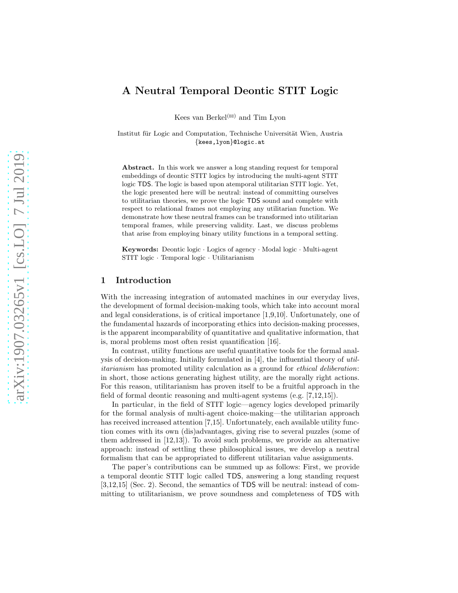# A Neutral Temporal Deontic STIT Logic

Kees van Berkel<sup>( $\boxtimes$ )</sup> and Tim Lyon

Institut für Logic and Computation, Technische Universität Wien, Austria {kees,lyon}@logic.at

Abstract. In this work we answer a long standing request for temporal embeddings of deontic STIT logics by introducing the multi-agent STIT logic TDS. The logic is based upon atemporal utilitarian STIT logic. Yet, the logic presented here will be neutral: instead of committing ourselves to utilitarian theories, we prove the logic TDS sound and complete with respect to relational frames not employing any utilitarian function. We demonstrate how these neutral frames can be transformed into utilitarian temporal frames, while preserving validity. Last, we discuss problems that arise from employing binary utility functions in a temporal setting.

Keywords: Deontic logic · Logics of agency · Modal logic · Multi-agent STIT logic · Temporal logic · Utilitarianism

### 1 Introduction

With the increasing integration of automated machines in our everyday lives, the development of formal decision-making tools, which take into account moral and legal considerations, is of critical importance [\[1,](#page-12-0)[9,](#page-13-0)[10\]](#page-13-1). Unfortunately, one of the fundamental hazards of incorporating ethics into decision-making processes, is the apparent incomparability of quantitative and qualitative information, that is, moral problems most often resist quantification [\[16\]](#page-13-2).

In contrast, utility functions are useful quantitative tools for the formal analysis of decision-making. Initially formulated in  $[4]$ , the influential theory of utilitarianism has promoted utility calculation as a ground for ethical deliberation: in short, those actions generating highest utility, are the morally right actions. For this reason, utilitarianism has proven itself to be a fruitful approach in the field of formal deontic reasoning and multi-agent systems (e.g. [\[7](#page-12-2)[,12,](#page-13-3)[15\]](#page-13-4)).

In particular, in the field of STIT logic—agency logics developed primarily for the formal analysis of multi-agent choice-making—the utilitarian approach has received increased attention [\[7](#page-12-2)[,15\]](#page-13-4). Unfortunately, each available utility function comes with its own (dis)advantages, giving rise to several puzzles (some of them addressed in [\[12,](#page-13-3)[13\]](#page-13-5)). To avoid such problems, we provide an alternative approach: instead of settling these philosophical issues, we develop a neutral formalism that can be appropriated to different utilitarian value assignments.

The paper's contributions can be summed up as follows: First, we provide a temporal deontic STIT logic called TDS, answering a long standing request [\[3,](#page-12-3)[12](#page-13-3)[,15\]](#page-13-4) (Sec. [2\)](#page-1-0). Second, the semantics of TDS will be neutral: instead of committing to utilitarianism, we prove soundness and completeness of TDS with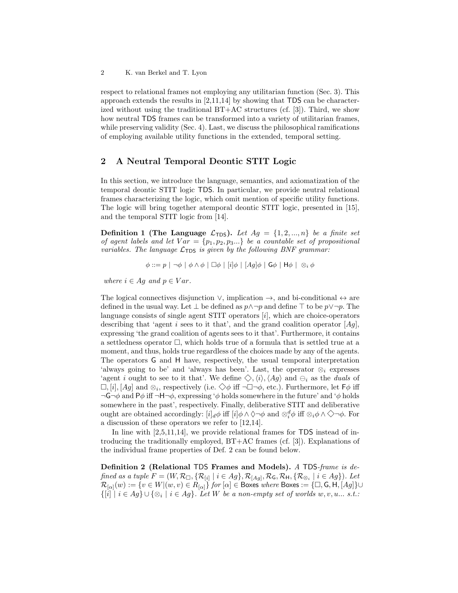respect to relational frames not employing any utilitarian function (Sec. [3\)](#page-4-0). This approach extends the results in [\[2](#page-12-4)[,11,](#page-13-6)[14\]](#page-13-7) by showing that TDS can be characterized without using the traditional  $BT+AC$  structures (cf. [\[3\]](#page-12-3)). Third, we show how neutral TDS frames can be transformed into a variety of utilitarian frames, while preserving validity (Sec. [4\)](#page-6-0). Last, we discuss the philosophical ramifications of employing available utility functions in the extended, temporal setting.

# <span id="page-1-0"></span>2 A Neutral Temporal Deontic STIT Logic

In this section, we introduce the language, semantics, and axiomatization of the temporal deontic STIT logic TDS. In particular, we provide neutral relational frames characterizing the logic, which omit mention of specific utility functions. The logic will bring together atemporal deontic STIT logic, presented in [\[15\]](#page-13-4), and the temporal STIT logic from [\[14\]](#page-13-7).

**Definition 1 (The Language**  $\mathcal{L}_{TDS}$ **).** Let  $Ag = \{1, 2, ..., n\}$  be a finite set of agent labels and let  $Var = \{p_1, p_2, p_3...\}$  be a countable set of propositional variables. The language  $\mathcal{L}_{\text{TDS}}$  is given by the following BNF grammar:

$$
\phi ::= p | \neg \phi | \phi \land \phi | \Box \phi | [i] \phi | [Ag] \phi | \mathsf{G} \phi | \mathsf{H} \phi | \otimes_i \phi
$$

where  $i \in Ag$  and  $p \in Var$ .

The logical connectives disjunction  $\vee$ , implication  $\rightarrow$ , and bi-conditional  $\leftrightarrow$  are defined in the usual way. Let  $\perp$  be defined as  $p \wedge \neg p$  and define  $\top$  to be  $p \vee \neg p$ . The language consists of single agent  $STIT$  operators  $[i]$ , which are choice-operators describing that 'agent i sees to it that', and the grand coalition operator  $[Ag]$ , expressing 'the grand coalition of agents sees to it that'. Furthermore, it contains a settledness operator  $\Box$ , which holds true of a formula that is settled true at a moment, and thus, holds true regardless of the choices made by any of the agents. The operators G and H have, respectively, the usual temporal interpretation 'always going to be' and 'always has been'. Last, the operator  $\otimes_i$  expresses 'agent i ought to see to it that'. We define  $\Diamond$ ,  $\langle i \rangle$ ,  $\langle Ag \rangle$  and  $\ominus_i$  as the *duals* of  $\square$ , [i], [Ag] and  $\otimes_i$ , respectively (i.e.  $\diamondsuit\phi$  iff  $\neg\Box\neg\phi$ , etc.). Furthermore, let  $\mathsf{F}\phi$  iff  $\neg \mathsf{G} \neg \phi$  and  $\mathsf{P}\phi$  iff  $\neg \mathsf{H} \neg \phi$ , expressing ' $\phi$  holds somewhere in the future' and ' $\phi$  holds somewhere in the past', respectively. Finally, deliberative STIT and deliberative ought are obtained accordingly:  $[i]_d \phi$  iff  $[i] \phi \wedge \Diamond \neg \phi$  and  $\otimes_i^d \phi$  iff  $\otimes_i \phi \wedge \Diamond \neg \phi$ . For a discussion of these operators we refer to [\[12](#page-13-3)[,14\]](#page-13-7).

In line with [\[2,](#page-12-4)[5,](#page-12-5)[11](#page-13-6)[,14\]](#page-13-7), we provide relational frames for TDS instead of introducing the traditionally employed, BT+AC frames (cf. [\[3\]](#page-12-3)). Explanations of the individual frame properties of Def. [2](#page-1-1) can be found below.

<span id="page-1-1"></span>Definition 2 (Relational TDS Frames and Models). A TDS-frame is defined as a tuple  $F = (W, \mathcal{R}_{\Box}, \{ \mathcal{R}_{[i]} \mid i \in Ag \}, \mathcal{R}_{[Ag]}, \mathcal{R}_{\mathsf{G}}, \mathcal{R}_{\mathsf{H}}, \{ \mathcal{R}_{\otimes_i} \mid i \in Ag \}).$  Let  $\mathcal{R}_{[\alpha]}(w) := \{v \in W | (w, v) \in R_{[\alpha]}\}$  for  $[\alpha] \in \mathsf{Boxes}$  where  $\mathsf{Boxes} := \{\Box, \mathsf{G}, \mathsf{H}, [Ag]\} \cup$  $\{[i] \mid i \in Ag\} \cup \{\otimes_i \mid i \in Ag\}$ . Let W be a non-empty set of worlds  $w, v, u...$  s.t.: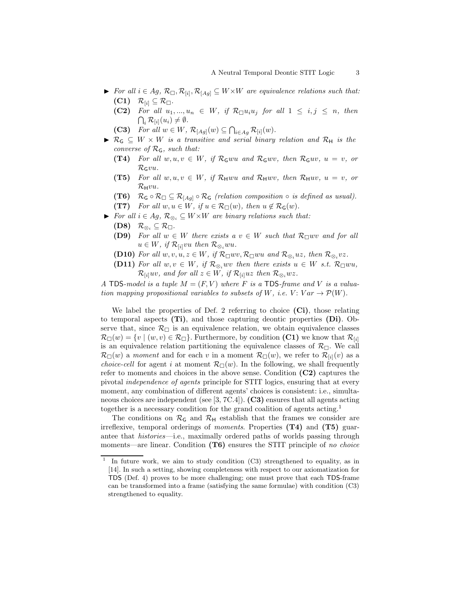- ► For all  $i \in Ag$ ,  $\mathcal{R}_{\Box}, \mathcal{R}_{[i]}, \mathcal{R}_{[Ag]} \subseteq W \times W$  are equivalence relations such that:  $(C1)$   $\mathcal{R}_{[i]} \subseteq \mathcal{R}_{\Box}.$ 
	- (C2) For all  $u_1, ..., u_n \in W$ , if  $\mathcal{R}_{\Box} u_i u_j$  for all  $1 \leq i, j \leq n$ , then  $\bigcap_i \mathcal{R}_{[i]}(u_i) \neq \emptyset.$
	- (C3) For all  $w \in W$ ,  $\mathcal{R}_{[Ag]}(w) \subseteq \bigcap_{i \in Ag} \mathcal{R}_{[i]}(w)$ .
- $\blacktriangleright$  R<sub>G</sub>  $\subseteq$  W  $\times$  W is a transitive and serial binary relation and R<sub>H</sub> is the converse of  $\mathcal{R}_G$ , such that:
	- (T4) For all  $w, u, v \in W$ , if  $\mathcal{R}_{\mathsf{G}} wu$  and  $\mathcal{R}_{\mathsf{G}} wv$ , then  $\mathcal{R}_{\mathsf{G}} u v$ ,  $u = v$ , or  $\mathcal{R}_{\mathsf{G}}vu.$
	- (T5) For all  $w, u, v \in W$ , if  $\mathcal{R}_H w u$  and  $\mathcal{R}_H w v$ , then  $\mathcal{R}_H u v$ ,  $u = v$ , or  $\mathcal{R}_{\mathsf{H}}vu$ .
	- (T6)  $\mathcal{R}_{\mathsf{G}} \circ \mathcal{R}_{\Box} \subseteq \mathcal{R}_{[Ag]} \circ \mathcal{R}_{\mathsf{G}}$  (relation composition  $\circ$  is defined as usual).
	- (T7) For all  $w, u \in W$ , if  $u \in \mathcal{R}_{\Box}(w)$ , then  $u \notin \mathcal{R}_{\mathsf{G}}(w)$ .
- ► For all  $i \in Ag$ ,  $\mathcal{R}_{\otimes_i} \subseteq W \times W$  are binary relations such that:
	- (D8)  $\mathcal{R}_{\otimes_i} \subseteq \mathcal{R}_{\Box}.$
	- (D9) For all  $w \in W$  there exists a  $v \in W$  such that  $\mathcal{R}_{\Box} w v$  and for all  $u \in W$ , if  $\mathcal{R}_{[i]}vu$  then  $\mathcal{R}_{\otimes_i}wu$ .
	- (D10) For all  $w, v, u, z \in W$ , if  $\mathcal{R}_{\Box} wv, \mathcal{R}_{\Box} wu$  and  $\mathcal{R}_{\otimes_i}uz$ , then  $\mathcal{R}_{\otimes_i}vz$ .
	- (D11) For all  $w, v \in W$ , if  $\mathcal{R}_{\otimes_i} wv$  then there exists  $u \in W$  s.t.  $\mathcal{R}_{\Box} wu$ ,  $\mathcal{R}_{[i]}uv$ , and for all  $z \in W$ , if  $\mathcal{R}_{[i]}uz$  then  $\mathcal{R}_{\otimes_i}wz$ .

A TDS-model is a tuple  $M = (F, V)$  where F is a TDS-frame and V is a valuation mapping propositional variables to subsets of W, i.e.  $V: Var \rightarrow \mathcal{P}(W)$ .

We label the properties of Def. [2](#page-1-1) referring to choice  $(Ci)$ , those relating to temporal aspects (Ti), and those capturing deontic properties (Di). Observe that, since  $\mathcal{R}_{\Box}$  is an equivalence relation, we obtain equivalence classes  $\mathcal{R}_{\Box}(w) = \{v \mid (w, v) \in \mathcal{R}_{\Box}\}.$  Furthermore, by condition (C1) we know that  $\mathcal{R}_{[i]}$ is an equivalence relation partitioning the equivalence classes of  $\mathcal{R}_{\Box}$ . We call  $\mathcal{R}_{\Box}(w)$  a moment and for each v in a moment  $\mathcal{R}_{\Box}(w)$ , we refer to  $\mathcal{R}_{[i]}(v)$  as a *choice-cell* for agent i at moment  $\mathcal{R}_{\Box}(w)$ . In the following, we shall frequently refer to moments and choices in the above sense. Condition  $(C2)$  captures the pivotal independence of agents principle for STIT logics, ensuring that at every moment, any combination of different agents' choices is consistent: i.e., simultaneous choices are independent (see [\[3,](#page-12-3) 7C.4]). (C3) ensures that all agents acting together is a necessary condition for the grand coalition of agents acting.[1](#page-2-0)

The conditions on  $\mathcal{R}_G$  and  $\mathcal{R}_H$  establish that the frames we consider are irreflexive, temporal orderings of moments. Properties (T4) and (T5) guarantee that histories—i.e., maximally ordered paths of worlds passing through moments—are linear. Condition  $(T6)$  ensures the STIT principle of no choice

<span id="page-2-0"></span><sup>1</sup> In future work, we aim to study condition (C3) strengthened to equality, as in [\[14\]](#page-13-7). In such a setting, showing completeness with respect to our axiomatization for TDS (Def. [4\)](#page-3-0) proves to be more challenging; one must prove that each TDS-frame can be transformed into a frame (satisfying the same formulae) with condition (C3) strengthened to equality.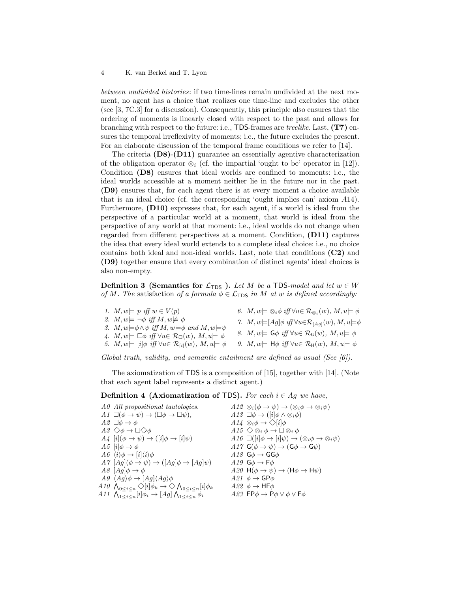between undivided histories: if two time-lines remain undivided at the next moment, no agent has a choice that realizes one time-line and excludes the other (see [\[3,](#page-12-3) 7C.3] for a discussion). Consequently, this principle also ensures that the ordering of moments is linearly closed with respect to the past and allows for branching with respect to the future: i.e., TDS-frames are treelike. Last, (T7) ensures the temporal irreflexivity of moments; i.e., the future excludes the present. For an elaborate discussion of the temporal frame conditions we refer to [\[14\]](#page-13-7).

The criteria  $(D8)-(D11)$  guarantee an essentially agentive characterization of the obligation operator  $\otimes_i$  (cf. the impartial 'ought to be' operator in [\[12\]](#page-13-3)). Condition (D8) ensures that ideal worlds are confined to moments: i.e., the ideal worlds accessible at a moment neither lie in the future nor in the past. (D9) ensures that, for each agent there is at every moment a choice available that is an ideal choice (cf. the corresponding 'ought implies can' axiom A14). Furthermore, (D10) expresses that, for each agent, if a world is ideal from the perspective of a particular world at a moment, that world is ideal from the perspective of any world at that moment: i.e., ideal worlds do not change when regarded from different perspectives at a moment. Condition, (D11) captures the idea that every ideal world extends to a complete ideal choice: i.e., no choice contains both ideal and non-ideal worlds. Last, note that conditions (C2) and (D9) together ensure that every combination of distinct agents' ideal choices is also non-empty.

<span id="page-3-1"></span>**Definition 3 (Semantics for**  $\mathcal{L}_{\text{TDS}}$ **).** Let M be a TDS-model and let  $w \in W$ of M. The satisfaction of a formula  $\phi \in \mathcal{L}_{\text{TDS}}$  in M at w is defined accordingly:

| 1. $M, w \models p$ iff $w \in V(p)$<br>2. $M, w \models \neg \phi \text{ iff } M, w \not\models \phi$<br>3. $M, w \models \phi \land \psi$ iff $M, w \models \phi$ and $M, w \models \psi$<br>4. $M, w \models \Box \phi$ iff $\forall u \in \mathcal{R}_{\Box}(w), M, u \models \phi$ | 6. $M, w \models \otimes_i \phi \text{ iff } \forall u \in \mathcal{R}_{\otimes_i}(w), M, u \models \phi$<br>7. $M, w \models [Ag] \phi \text{ iff } \forall u \in \mathcal{R}_{[Ag]}(w), M, u \models \phi$<br>8. $M, w \models \mathsf{G}\phi \text{ iff } \forall u \in \mathcal{R}_{\mathsf{G}}(w), M, u \models \phi$ |
|-----------------------------------------------------------------------------------------------------------------------------------------------------------------------------------------------------------------------------------------------------------------------------------------|----------------------------------------------------------------------------------------------------------------------------------------------------------------------------------------------------------------------------------------------------------------------------------------------------------------------------|
| 5. $M, w \models [i] \phi \text{ iff } \forall u \in \mathcal{R}_{\{i\}}(w), M, u \models \phi$                                                                                                                                                                                         | 9. $M, w \models \mathsf{H}\phi \text{ iff } \forall u \in \mathcal{R}_{\mathsf{H}}(w), M, u \models \phi$                                                                                                                                                                                                                 |
|                                                                                                                                                                                                                                                                                         |                                                                                                                                                                                                                                                                                                                            |

Global truth, validity, and semantic entailment are defined as usual (See [\[6\]](#page-12-6)).

<span id="page-3-0"></span>The axiomatization of TDS is a composition of [\[15\]](#page-13-4), together with [\[14\]](#page-13-7). (Note that each agent label represents a distinct agent.)

### **Definition 4 (Axiomatization of TDS).** For each  $i \in Ag$  we have,

| A0 All propositional tautologies.                                                                                     | $A12 \otimes_i(\phi \rightarrow \psi) \rightarrow (\otimes_i \phi \rightarrow \otimes_i \psi)$    |
|-----------------------------------------------------------------------------------------------------------------------|---------------------------------------------------------------------------------------------------|
| $\Lambda \mathbf{1} \square (\phi \rightarrow \psi) \rightarrow (\square \phi \rightarrow \square \psi),$             | A13 $\Box \phi \rightarrow ( [i] \phi \land \otimes_i \phi )$                                     |
| $A2 \Box \phi \rightarrow \phi$                                                                                       | $A14 \otimes_i \phi \rightarrow \bigcirc [i] \phi$                                                |
| $A3 \diamondsuit \phi \rightarrow \Box \diamondsuit \phi$                                                             | $A15 \diamondsuit \otimes_i \phi \rightarrow \Box \otimes_i \phi$                                 |
| $A_4$ $[i](\phi \rightarrow \psi) \rightarrow ( [i] \phi \rightarrow [i] \psi)$                                       | A16 $\Box([i] \phi \rightarrow [i] \psi) \rightarrow (\otimes_i \phi \rightarrow \otimes_i \psi)$ |
| A5 $ i  \phi \rightarrow \phi$                                                                                        | A17 $G(\phi \rightarrow \psi) \rightarrow (G\phi \rightarrow G\psi)$                              |
| $A6 \langle i \rangle \phi \rightarrow  i  \langle i \rangle \phi$                                                    | A18 $G\phi \rightarrow G\phi$                                                                     |
| $A\gamma$ $[Ag](\phi \rightarrow \psi) \rightarrow ([Ag]\phi \rightarrow [Ag]\psi)$                                   | A <sub>19</sub> $G\phi \rightarrow F\phi$                                                         |
| A8 $[Aq]\phi \rightarrow \phi$                                                                                        | A20 $H(\phi \to \psi) \to (H\phi \to H\psi)$                                                      |
| $A9 \langle Ag \rangle \phi \rightarrow [Ag] \langle Ag \rangle \phi$                                                 | A21 $\phi \rightarrow \mathsf{GP}\phi$                                                            |
| A10 $\bigwedge_{0 \leq i \leq n} \bigotimes [i] \phi_k \rightarrow \bigotimes \bigwedge_{0 \leq i \leq n} [i] \phi_k$ | A22 $\phi \rightarrow$ HF $\phi$                                                                  |
| A11 $\bigwedge_{1 \leq i \leq n} [i] \phi_i \rightarrow [Ag] \bigwedge_{1 \leq i \leq n} \phi_i$                      | A23 FP $\phi \rightarrow$ P $\phi \lor \phi \lor$ F $\phi$                                        |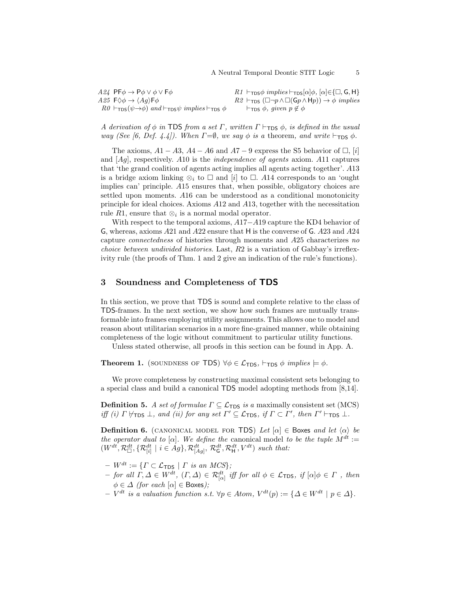$A24$  PF $\phi \rightarrow$  P $\phi \lor \phi \lor$  F $\phi$  $A25 \ F \diamondsuit \phi \rightarrow \langle Aq \rangle \mathsf{F} \phi$  $R0 \vdash_{\text{TDS}} (\psi \rightarrow \phi)$  and  $\vdash_{\text{TDS}} \psi$  implies  $\vdash_{\text{TDS}} \phi$  $R1 \vdash_{\mathsf{TDS}} \phi \implies \vdash_{\mathsf{TDS}} [\alpha] \phi, [\alpha] \in {\square, \mathsf{G}, \mathsf{H}}$  $R2 \vdash_{\text{TDS}} (\Box \neg p \land \Box(\mathsf{G} p \land \mathsf{H} p)) \rightarrow \phi \ implies$  $\vdash_{\mathsf{TDS}} \phi$ , given  $p \notin \phi$ 

A derivation of  $\phi$  in TDS from a set  $\Gamma$ , written  $\Gamma \vdash_{\text{TDS}} \phi$ , is defined in the usual way (See [\[6,](#page-12-6) Def. 4.4]). When  $\Gamma=\emptyset$ , we say  $\phi$  is a theorem, and write  $\vdash_{\text{TDS}} \phi$ .

The axioms,  $A1 - A3$ ,  $A4 - A6$  and  $A7 - 9$  express the S5 behavior of  $\Box$ , [i] and  $[Ag]$ , respectively. A10 is the *independence of agents* axiom. A11 captures that 'the grand coalition of agents acting implies all agents acting together'. A13 is a bridge axiom linking  $\otimes_i$  to  $\square$  and  $[i]$  to  $\square$ . All corresponds to an 'ought implies can' principle. A15 ensures that, when possible, obligatory choices are settled upon moments. A16 can be understood as a conditional monotonicity principle for ideal choices. Axioms A12 and A13, together with the necessitation rule R1, ensure that  $\otimes_i$  is a normal modal operator.

With respect to the temporal axioms, A17−A19 capture the KD4 behavior of G, whereas, axioms A21 and A22 ensure that H is the converse of G. A23 and A24 capture connectedness of histories through moments and A25 characterizes no *choice between undivided histories.* Last,  $R2$  is a variation of Gabbay's irreflexivity rule (the proofs of Thm. [1](#page-4-1) and [2](#page-6-1) give an indication of the rule's functions).

# <span id="page-4-0"></span>3 Soundness and Completeness of TDS

In this section, we prove that TDS is sound and complete relative to the class of TDS-frames. In the next section, we show how such frames are mutually transformable into frames employing utility assignments. This allows one to model and reason about utilitarian scenarios in a more fine-grained manner, while obtaining completeness of the logic without commitment to particular utility functions.

<span id="page-4-1"></span>Unless stated otherwise, all proofs in this section can be found in App. [A.](#page-13-8)

**Theorem 1.** (SOUNDNESS OF TDS)  $\forall \phi \in \mathcal{L}_{TDS}$ ,  $\vdash_{TDS} \phi$  implies  $\models \phi$ .

We prove completeness by constructing maximal consistent sets belonging to a special class and build a canonical TDS model adopting methods from [\[8](#page-13-9)[,14\]](#page-13-7).

**Definition 5.** A set of formulae  $\Gamma \subseteq \mathcal{L}_{\text{TDS}}$  is a maximally consistent set (MCS) iff (i)  $\Gamma \not\models_{\text{TDS}} \bot$ , and (ii) for any set  $\Gamma' \subseteq \mathcal{L}_{\text{TDS}}$ , if  $\Gamma \subset \Gamma'$ , then  $\Gamma' \vdash_{\text{TDS}} \bot$ .

**Definition 6.** (CANONICAL MODEL FOR TDS) Let  $[\alpha] \in \text{Boxes}$  and let  $\langle \alpha \rangle$  be the operator dual to [ $\alpha$ ]. We define the canonical model to be the tuple  $M^{dt}$  :=  $(W^{dt}, \mathcal{R}_{\Box}^{dt}, \{ \mathcal{R}_{[i]}^{dt} \mid i \in Ag \}, \mathcal{R}_{[Ag]}^{dt}, \mathcal{R}_{\mathsf{G}}^{dt}, \mathcal{R}_{\mathsf{H}}^{dt}, V^{dt} )$  such that:

- $W^{dt} := \{ \Gamma \subset \mathcal{L}_{\textsf{TDS}} \mid \Gamma \text{ is an MCS} \};$
- $−$  for all Γ, Δ ∈ W<sup>dt</sup>,  $(Γ, Δ) ∈ R_{[α]}^{dt}$  iff for all  $φ ∈ L$ <sub>TDS</sub>, if  $[α]φ ∈ Γ$ , then  $\phi \in \Delta$  (for each  $[\alpha] \in \text{Boxes}$ );
- $-V^{dt}$  is a valuation function s.t.  $\forall p \in Atom, V^{dt}(p) := \{ \Delta \in W^{dt} \mid p \in \Delta \}.$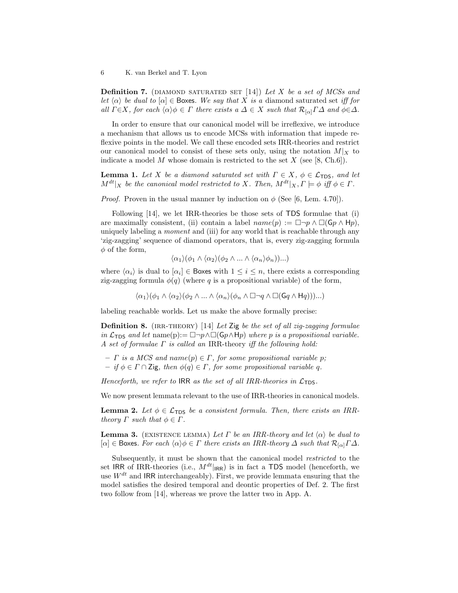**Definition 7.** (DIAMOND SATURATED SET  $[14]$ ) Let X be a set of MCSs and let  $\langle \alpha \rangle$  be dual to  $[\alpha] \in \mathsf{Box}$ es. We say that X is a diamond saturated set iff for all  $\Gamma \in X$ , for each  $\langle \alpha \rangle \phi \in \Gamma$  there exists  $a \Delta \in X$  such that  $\mathcal{R}_{[\alpha]} \Gamma \Delta$  and  $\phi \in \Delta$ .

In order to ensure that our canonical model will be irreflexive, we introduce a mechanism that allows us to encode MCSs with information that impede reflexive points in the model. We call these encoded sets IRR-theories and restrict our canonical model to consist of these sets only, using the notation  $M|_X$  to indicate a model M whose domain is restricted to the set  $X$  (see [\[8,](#page-13-9) Ch.6]).

<span id="page-5-2"></span>**Lemma 1.** Let X be a diamond saturated set with  $\Gamma \in X$ ,  $\phi \in \mathcal{L}_{\text{TDS}}$ , and let  $M^{dt}|_X$  be the canonical model restricted to X. Then,  $M^{dt}|_X, \Gamma \models \phi$  iff  $\phi \in \Gamma$ .

*Proof.* Proven in the usual manner by induction on  $\phi$  (See [\[6,](#page-12-6) Lem. 4.70]).

Following [\[14\]](#page-13-7), we let IRR-theories be those sets of TDS formulae that (i) are maximally consistent, (ii) contain a label  $name(p) := \Box \neg p \land \Box(Gp \land \mathsf{H}p)$ , uniquely labeling a *moment* and (iii) for any world that is reachable through any 'zig-zagging' sequence of diamond operators, that is, every zig-zagging formula  $\phi$  of the form,

$$
\langle \alpha_1 \rangle (\phi_1 \wedge \langle \alpha_2 \rangle (\phi_2 \wedge \ldots \wedge \langle \alpha_n \rangle \phi_n)) \ldots )
$$

where  $\langle \alpha_i \rangle$  is dual to  $[\alpha_i] \in$  Boxes with  $1 \leq i \leq n$ , there exists a corresponding zig-zagging formula  $\phi(q)$  (where q is a propositional variable) of the form,

$$
\langle \alpha_1 \rangle (\phi_1 \wedge \langle \alpha_2 \rangle (\phi_2 \wedge ... \wedge \langle \alpha_n \rangle (\phi_n \wedge \Box \neg q \wedge \Box(Gq \wedge Hq)))...)
$$

labeling reachable worlds. Let us make the above formally precise:

**Definition 8.** (IRR-THEORY) [\[14\]](#page-13-7) Let Zig be the set of all zig-zagging formulae in  $\mathcal{L}_{\text{TDS}}$  and let name(p):=  $\Box \neg p \land \Box(\mathsf{G} p \land \mathsf{H} p)$  where p is a propositional variable. A set of formulae  $\Gamma$  is called an IRR-theory iff the following hold:

- $\Gamma$  is a MCS and name $(p) \in \Gamma$ , for some propositional variable p;
- $-$  if  $\phi \in \Gamma \cap \mathsf{Zig}$ , then  $\phi(q) \in \Gamma$ , for some propositional variable q.

Henceforth, we refer to IRR as the set of all IRR-theories in  $\mathcal{L}_{\text{TDS}}$ .

<span id="page-5-0"></span>We now present lemmata relevant to the use of IRR-theories in canonical models.

**Lemma 2.** Let  $\phi \in \mathcal{L}_{\text{TDS}}$  be a consistent formula. Then, there exists an IRRtheory  $\Gamma$  such that  $\phi \in \Gamma$ .

<span id="page-5-1"></span>**Lemma 3.** (EXISTENCE LEMMA) Let  $\Gamma$  be an IRR-theory and let  $\langle \alpha \rangle$  be dual to  $[\alpha] \in \text{Boxes.}$  For each  $\langle \alpha \rangle \phi \in \Gamma$  there exists an IRR-theory  $\Delta$  such that  $\mathcal{R}_{[\alpha]} \Gamma \Delta$ .

Subsequently, it must be shown that the canonical model restricted to the set IRR of IRR-theories (i.e.,  $M^{dt}|_{\text{IRR}}$ ) is in fact a TDS model (henceforth, we use  $W^{dt}$  and IRR interchangeably). First, we provide lemmata ensuring that the model satisfies the desired temporal and deontic properties of Def. [2.](#page-1-1) The first two follow from [\[14\]](#page-13-7), whereas we prove the latter two in App. [A.](#page-13-8)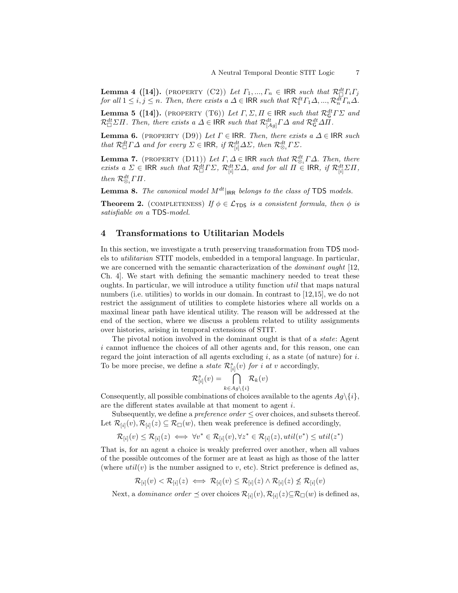**Lemma 4** ([\[14\]](#page-13-7)). (PROPERTY (C2)) Let  $\Gamma_1, ..., \Gamma_n \in \mathsf{IRR}$  such that  $\mathcal{R}_{\Box}^{dt} \Gamma_i \Gamma_j$ for all  $1 \le i, j \le n$ . Then, there exists a  $\Delta \in \mathsf{IRR}$  such that  $\mathcal{R}_1^{dt} \Gamma_1 \Delta, ..., \mathcal{R}_n^{d\overline{t}} \Gamma_n \Delta$ .

**Lemma 5** ([\[14\]](#page-13-7)). (PROPERTY (T6)) Let  $\Gamma$ ,  $\Sigma$ ,  $\Pi$   $\in$  IRR such that  $\mathcal{R}_{\mathsf{G}}^{dt}$   $\Gamma \Sigma$  and  $\mathcal{R}_{\Box}^{dt} \Sigma \Pi$ . Then, there exists a  $\Delta \in \mathsf{IRR}$  such that  $\mathcal{R}_{[Ag]}^{dt} \Gamma \Delta$  and  $\mathcal{R}_{\mathsf{G}}^{dt} \Delta \Pi$ .

<span id="page-6-2"></span>**Lemma 6.** (PROPERTY (D9)) Let  $\Gamma \in \mathsf{IRR}$ . Then, there exists a  $\Delta \in \mathsf{IRR}$  such that  $\mathcal{R}_{\Box}^{dt} \Gamma \Delta$  and for every  $\Sigma \in \mathsf{IRR}, \textit{if } \mathcal{R}_{[i]}^{dt} \Delta \Sigma, \textit{then } \mathcal{R}_{\otimes_i}^{dt} \Gamma \Sigma.$ 

<span id="page-6-3"></span>**Lemma 7.** (PROPERTY (D11)) Let  $\Gamma, \Delta \in \mathsf{IRR}$  such that  $\mathcal{R}_{\otimes_i}^{dt} \Gamma \Delta$ . Then, there exists a  $\Sigma \in \mathsf{IRR}$  such that  $\mathcal{R}_{\Box}^{dt} \Gamma \Sigma$ ,  $\mathcal{R}_{[i]}^{dt} \Sigma \Delta$ , and for all  $\Pi \in \mathsf{IRR}$ , if  $\mathcal{R}_{[i]}^{dt} \Sigma \Pi$ , then  $\mathcal{R}^{dt}_{\otimes_i} \Gamma \Pi$ .

<span id="page-6-4"></span><span id="page-6-1"></span>**Lemma 8.** The canonical model  $M^{dt}|_{\text{IRR}}$  belongs to the class of TDS models.

**Theorem 2.** (COMPLETENESS) If  $\phi \in \mathcal{L}_{\text{TDS}}$  is a consistent formula, then  $\phi$  is satisfiable on a TDS-model.

## <span id="page-6-0"></span>4 Transformations to Utilitarian Models

In this section, we investigate a truth preserving transformation from TDS models to utilitarian STIT models, embedded in a temporal language. In particular, we are concerned with the semantic characterization of the *dominant ought* [\[12,](#page-13-3) Ch. 4]. We start with defining the semantic machinery needed to treat these oughts. In particular, we will introduce a utility function util that maps natural numbers (i.e. utilities) to worlds in our domain. In contrast to [\[12](#page-13-3)[,15\]](#page-13-4), we do not restrict the assignment of utilities to complete histories where all worlds on a maximal linear path have identical utility. The reason will be addressed at the end of the section, where we discuss a problem related to utility assignments over histories, arising in temporal extensions of STIT.

The pivotal notion involved in the dominant ought is that of a *state*: Agent i cannot influence the choices of all other agents and, for this reason, one can regard the joint interaction of all agents excluding  $i$ , as a state (of nature) for  $i$ . To be more precise, we define a *state*  $\mathcal{R}^s_{[i]}(v)$  *for i at v* accordingly,

$$
\mathcal{R}^s_{[i]}(v) = \bigcap_{k \in Ag \setminus \{i\}} \mathcal{R}_k(v)
$$

Consequently, all possible combinations of choices available to the agents  $Ag\setminus\{i\},$ are the different states available at that moment to agent i.

Subsequently, we define a *preference order*  $\leq$  over choices, and subsets thereof. Let  $\mathcal{R}_{[i]}(v), \mathcal{R}_{[i]}(z) \subseteq \mathcal{R}_{\Box}(w)$ , then weak preference is defined accordingly,

$$
\mathcal{R}_{[i]}(v) \leq \mathcal{R}_{[i]}(z) \iff \forall v^* \in \mathcal{R}_{[i]}(v), \forall z^* \in \mathcal{R}_{[i]}(z), util(v^*) \leq util(z^*)
$$

That is, for an agent a choice is weakly preferred over another, when all values of the possible outcomes of the former are at least as high as those of the latter (where  $util(v)$  is the number assigned to v, etc). Strict preference is defined as,

$$
\mathcal{R}_{[i]}(v) < \mathcal{R}_{[i]}(z) \iff \mathcal{R}_{[i]}(v) \leq \mathcal{R}_{[i]}(z) \land \mathcal{R}_{[i]}(z) \not\leq \mathcal{R}_{[i]}(v)
$$

Next, a *dominance order*  $\preceq$  over choices  $\mathcal{R}_{[i]}(v), \mathcal{R}_{[i]}(z) \subseteq \mathcal{R}_{\Box}(w)$  is defined as,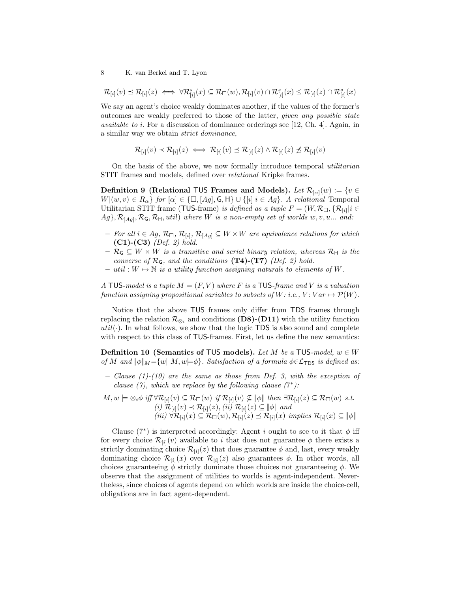$\mathcal{R}_{[i]}(v) \preceq \mathcal{R}_{[i]}(z) \iff \forall \mathcal{R}_{[i]}^s(x) \subseteq \mathcal{R}_{\Box}(w), \mathcal{R}_{[i]}(v) \cap \mathcal{R}_{[i]}^s(x) \leq \mathcal{R}_{[i]}(z) \cap \mathcal{R}_{[i]}^s(x)$ 

We say an agent's choice weakly dominates another, if the values of the former's outcomes are weakly preferred to those of the latter, given any possible state available to i. For a discussion of dominance orderings see [\[12,](#page-13-3) Ch. 4]. Again, in a similar way we obtain strict dominance,

$$
\mathcal{R}_{[i]}(v) \prec \mathcal{R}_{[i]}(z) \iff \mathcal{R}_{[i]}(v) \preceq \mathcal{R}_{[i]}(z) \land \mathcal{R}_{[i]}(z) \not\preceq \mathcal{R}_{[i]}(v)
$$

<span id="page-7-0"></span>On the basis of the above, we now formally introduce temporal utilitarian STIT frames and models, defined over *relational* Kripke frames.

**Definition 9 (Relational TUS Frames and Models).** Let  $\mathcal{R}_{[\alpha]}(w) := \{v \in$  $W|(w, v) \in R_{\alpha}$  for  $[\alpha] \in {\Box, [Ag], \mathsf{G}, \mathsf{H}} \cup {\{i | i \in Ag\}}$ . A relational Temporal Utilitarian STIT frame (TUS-frame) is defined as a tuple  $F = (W, \mathcal{R}_{\Box}, \{ \mathcal{R}_{[i]} | i \in$  $\{Ag\}, \mathcal{R}_{[Ag]}, \mathcal{R}_{\mathsf{G}}, \mathcal{R}_{\mathsf{H}}, util)$  where W is a non-empty set of worlds  $w, v, u...$  and:

- $−$  For all  $i \in Ag$ ,  $\mathcal{R}_{\Box}$ ,  $\mathcal{R}_{[i]}$ ,  $\mathcal{R}_{[Ag]}$   $\subseteq$   $W \times W$  are equivalence relations for which  $(C1)-(C3)$  (Def. [2\)](#page-1-1) hold.
- $\mathcal{R}_{\mathsf{G}} \subseteq W \times W$  is a transitive and serial binary relation, whereas  $\mathcal{R}_{\mathsf{H}}$  is the converse of  $\mathcal{R}_G$ , and the conditions (T4)-(T7) (Def. [2\)](#page-1-1) hold.
- util :  $W \mapsto \mathbb{N}$  is a utility function assigning naturals to elements of W.

A TUS-model is a tuple  $M = (F, V)$  where F is a TUS-frame and V is a valuation function assigning propositional variables to subsets of  $W$ : i.e.,  $V: Var \mapsto \mathcal{P}(W)$ .

Notice that the above TUS frames only differ from TDS frames through replacing the relation  $\mathcal{R}_{\otimes_i}$  and conditions (D8)-(D11) with the utility function util( $\cdot$ ). In what follows, we show that the logic TDS is also sound and complete with respect to this class of TUS-frames. First, let us define the new semantics:

**Definition 10 (Semantics of TUS models).** Let M be a TUS-model,  $w \in W$ of M and  $\|\phi\|_M = \{w \mid M, w \models \phi\}$ . Satisfaction of a formula  $\phi \in \mathcal{L}_{\text{TDS}}$  is defined as:

- $-$  Clause (1)-(10) are the same as those from Def. [3,](#page-3-1) with the exception of clause (7), which we replace by the following clause  $(7^*)$ :
- $M, w \models \otimes_i \phi \text{ iff } \forall \mathcal{R}_{[i]}(v) \subseteq \mathcal{R}_{\Box}(w) \text{ if } \mathcal{R}_{[i]}(v) \not\subseteq \llbracket \phi \rrbracket \text{ then } \exists \mathcal{R}_{[i]}(z) \subseteq \mathcal{R}_{\Box}(w) \text{ s.t.}$ (i)  $\mathcal{R}_{[i]}(v) \prec \mathcal{R}_{[i]}(z)$ , (ii)  $\mathcal{R}_{[i]}(z) \subseteq \llbracket \phi \rrbracket$  and  $(iii) \ \forall \mathcal{R}_{[i]}(x) \subseteq \mathcal{R}_{\Box}(w), \mathcal{R}_{[i]}(z) \preceq \mathcal{R}_{[i]}(x) \implies \mathcal{R}_{[i]}(x) \subseteq \llbracket \phi \rrbracket$

<span id="page-7-1"></span>Clause (7<sup>\*</sup>) is interpreted accordingly: Agent i ought to see to it that  $\phi$  iff for every choice  $\mathcal{R}_{[i]}(v)$  available to i that does not guarantee  $\phi$  there exists a strictly dominating choice  $\mathcal{R}_{[i]}(z)$  that does guarantee  $\phi$  and, last, every weakly dominating choice  $\mathcal{R}_{[i]}(x)$  over  $\mathcal{R}_{[i]}(z)$  also guarantees  $\phi$ . In other words, all choices guaranteeing  $\phi$  strictly dominate those choices not guaranteeing  $\phi$ . We observe that the assignment of utilities to worlds is agent-independent. Nevertheless, since choices of agents depend on which worlds are inside the choice-cell, obligations are in fact agent-dependent.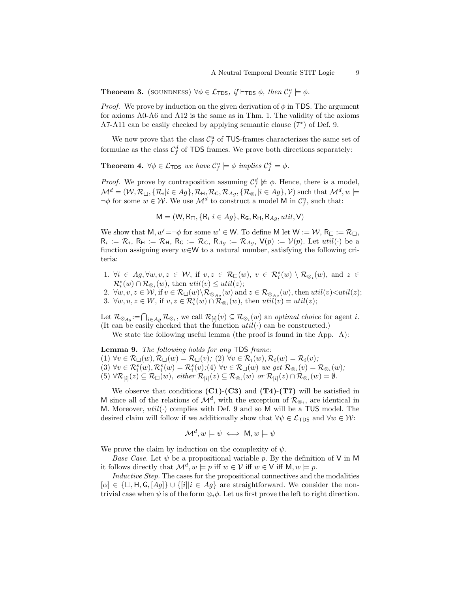**Theorem 3.** (SOUNDNESS)  $\forall \phi \in \mathcal{L}_{\text{TDS}}$ , if  $\vdash_{\text{TDS}} \phi$ , then  $\mathcal{C}_f^u \models \phi$ .

*Proof.* We prove by induction on the given derivation of  $\phi$  in TDS. The argument for axioms A0-A6 and A12 is the same as in Thm. [1.](#page-4-1) The validity of the axioms A7-A11 can be easily checked by applying semantic clause (7<sup>∗</sup> ) of Def. [9.](#page-7-0)

<span id="page-8-1"></span>We now prove that the class  $\mathcal{C}_{f}^{u}$  of TUS-frames characterizes the same set of formulae as the class  $C_f^d$  of TDS frames. We prove both directions separately:

**Theorem 4.**  $\forall \phi \in \mathcal{L}_{\text{TDS}}$  we have  $\mathcal{C}_f^u \models \phi$  implies  $\mathcal{C}_f^d \models \phi$ .

*Proof.* We prove by contraposition assuming  $\mathcal{C}_f^d \not\models \phi$ . Hence, there is a model,  $\mathcal{M}^d=(\mathcal{W},\mathcal{R}_{\Box},\{\mathcal{R}_i|i\in Ag\},\mathcal{R}_{\mathsf{H}},\mathcal{R}_{\mathsf{G}},\mathcal{R}_{Ag},\{\mathcal{R}_{\otimes_i}|i\in Ag\},\mathcal{V}) \text{ such that } \mathcal{M}^d,w\models$  $\neg \phi$  for some  $w \in \mathcal{W}$ . We use  $\mathcal{M}^d$  to construct a model M in  $\mathcal{C}_f^u$ , such that:

 $\mathsf{M} = (\mathsf{W}, \mathsf{R}_{\Box}, \{\mathsf{R}_i | i \in Ag\}, \mathsf{R}_{\mathsf{G}}, \mathsf{R}_{\mathsf{H}}, \mathsf{R}_{Ag}, util, \mathsf{V})$ 

We show that  $M, w' \models \neg \phi$  for some  $w' \in W$ . To define M let  $W := \mathcal{W}, R_{\Box} := \mathcal{R}_{\Box}$ ,  $R_i := \mathcal{R}_i$ ,  $R_H := \mathcal{R}_H$ ,  $R_G := \mathcal{R}_G$ ,  $R_{Ag} := \mathcal{R}_{Ag}$ ,  $V(p) := V(p)$ . Let  $util(\cdot)$  be a function assigning every  $w \in W$  to a natural number, satisfying the following criteria:

1.  $\forall i \in Ag, \forall w, v, z \in W$ , if  $v, z \in \mathcal{R}_{\Box}(w)$ ,  $v \in \mathcal{R}_{i}^{s}(w) \setminus \mathcal{R}_{\otimes_{i}}(w)$ , and  $z \in$  $\mathcal{R}_i^s(w) \cap \mathcal{R}_{\otimes_i}(w)$ , then  $util(v) \leq util(z)$ ;

2.  $\forall w, v, z \in \mathcal{W}$ , if  $v \in \mathcal{R}_{\Box}(w) \backslash \mathcal{R}_{\otimes_{Ag}}(w)$  and  $z \in \mathcal{R}_{\otimes_{Ag}}(w)$ , then  $util(v) \leq util(z)$ ; 3.  $\forall w, u, z \in W$ , if  $v, z \in \mathcal{R}_i^s(w) \cap \mathcal{R}_{\otimes_i}(w)$ , then  $util(v) = util(z)$ ;

Let  $\mathcal{R}_{\otimes_{Ag}} := \bigcap_{i \in Ag} \mathcal{R}_{\otimes_i}$ , we call  $\mathcal{R}_{[i]}(v) \subseteq \mathcal{R}_{\otimes_i}(w)$  an *optimal choice* for agent *i*. (It can be easily checked that the function  $util(\cdot)$  can be constructed.)

<span id="page-8-0"></span>We state the following useful lemma (the proof is found in the App. [A\)](#page-13-8):

Lemma 9. The following holds for any TDS frame: (1)  $\forall v \in \mathcal{R}_{\Box}(w), \mathcal{R}_{\Box}(w) = \mathcal{R}_{\Box}(v);$  (2)  $\forall v \in \mathcal{R}_i(w), \mathcal{R}_i(w) = \mathcal{R}_i(v);$  $(3)$   $\forall v \in \mathcal{R}_i^s(w), \mathcal{R}_i^s(w) = \mathcal{R}_i^s(v);$  (4)  $\forall v \in \mathcal{R}_{\Box}(w)$  we get  $\mathcal{R}_{\otimes_i}(v) = \mathcal{R}_{\otimes_i}(w);$  $(5) \ \forall \mathcal{R}_{[i]}(z) \subseteq \mathcal{R}_{\Box}(w), \ either \ \mathcal{R}_{[i]}(z) \subseteq \mathcal{R}_{\otimes i}(w) \ \ or \ \mathcal{R}_{[i]}(z) \cap \mathcal{R}_{\otimes i}(w) = \emptyset.$ 

We observe that conditions  $(C1)-(C3)$  and  $(T4)-(T7)$  will be satisfied in M since all of the relations of  $\mathcal{M}^d$ , with the exception of  $\mathcal{R}_{\otimes_i}$ , are identical in M. Moreover,  $util(\cdot)$  complies with Def. [9](#page-7-0) and so M will be a TUS model. The desired claim will follow if we additionally show that  $\forall \psi \in \mathcal{L}_{\text{TDS}}$  and  $\forall w \in \mathcal{W}$ :

$$
\mathcal{M}^d, w \models \psi \iff \mathsf{M}, w \models \psi
$$

We prove the claim by induction on the complexity of  $\psi$ .

*Base Case.* Let  $\psi$  be a propositional variable p. By the definition of V in M it follows directly that  $\mathcal{M}^d, w \models p$  iff  $w \in \mathcal{V}$  iff  $w \in \mathcal{V}$  iff  $M, w \models p$ .

Inductive Step. The cases for the propositional connectives and the modalities  $[\alpha] \in {\square, H, G, [Ag]} \cup \{ [i] | i \in Ag \}$  are straightforward. We consider the nontrivial case when  $\psi$  is of the form  $\otimes_i \phi$ . Let us first prove the left to right direction.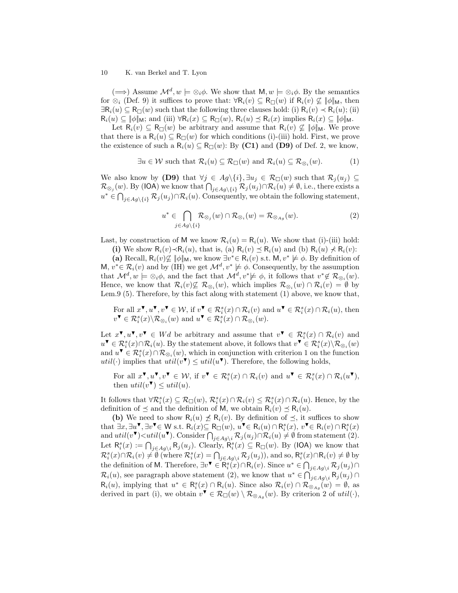$(\Longrightarrow)$  Assume  $\mathcal{M}^d, w \models \otimes_i \phi$ . We show that  $M, w \models \otimes_i \phi$ . By the semantics for  $\otimes_i$  (Def. [9\)](#page-7-0) it suffices to prove that:  $\forall R_i(v) \subseteq R_{\Box}(w)$  if  $R_i(v) \not\subseteq ||\phi||_M$ , then  $\exists \mathsf{R}_i(u) \subseteq \mathsf{R}_{\square}(w)$  such that the following three clauses hold: (i)  $\mathsf{R}_i(v) \prec \mathsf{R}_i(u)$ ; (ii)  $R_i(u) \subseteq \|\phi\|_{\mathsf{M}}$ ; and (iii)  $\forall R_i(x) \subseteq R_{\Box}(w)$ ,  $R_i(u) \leq R_i(x)$  implies  $R_i(x) \subseteq \|\phi\|_{\mathsf{M}}$ .

Let  $R_i(v) \subseteq R_{\Box}(w)$  be arbitrary and assume that  $R_i(v) \not\subseteq ||\phi||_M$ . We prove that there is a  $R_i(u) \subseteq R_{\Box}(w)$  for which conditions (i)-(iii) hold. First, we prove the existence of such a  $R_i(u) \subseteq R_{\Box}(w)$ : By (C1) and (D9) of Def. [2,](#page-1-1) we know,

<span id="page-9-0"></span>
$$
\exists u \in \mathcal{W} \text{ such that } \mathcal{R}_i(u) \subseteq \mathcal{R}_{\Box}(w) \text{ and } \mathcal{R}_i(u) \subseteq \mathcal{R}_{\otimes_i}(w). \tag{1}
$$

We also know by (D9) that  $\forall j \in Ag \setminus \{i\}, \exists u_j \in \mathcal{R}_{\Box}(w)$  such that  $\mathcal{R}_j(u_j) \subseteq$  $\mathcal{R}_{\otimes_j}(w)$ . By (IOA) we know that  $\bigcap_{j\in Ag\setminus\{i\}}\mathcal{R}_j(u_j)\cap \mathcal{R}_i(u)\neq\emptyset$ , i.e., there exists a  $u^* \in \bigcap_{j \in Ag\setminus\{i\}} \mathcal{R}_j(u_j) \cap \mathcal{R}_i(u)$ . Consequently, we obtain the following statement,

<span id="page-9-1"></span>
$$
u^* \in \bigcap_{j \in Ag\setminus\{i\}} \mathcal{R}_{\otimes_j}(w) \cap \mathcal{R}_{\otimes_i}(w) = \mathcal{R}_{\otimes_{Ag}}(w). \tag{2}
$$

Last, by construction of M we know  $\mathcal{R}_i(u) = \mathcal{R}_i(u)$ . We show that (i)-(iii) hold:

(i) We show  $\mathsf{R}_i(v) \prec \mathsf{R}_i(u)$ , that is, (a)  $\mathsf{R}_i(v) \preceq \mathsf{R}_i(u)$  and (b)  $\mathsf{R}_i(u) \nprec \mathsf{R}_i(v)$ :

(a) Recall,  $\mathsf{R}_i(v)\not\subseteq \|\phi\|_{\mathsf{M}}$ , we know  $\exists v^* \in \mathsf{R}_i(v)$  s.t.  $\mathsf{M}, v^* \not\models \phi$ . By definition of M,  $v^* \in \mathcal{R}_i(v)$  and by (IH) we get  $\mathcal{M}^d, v^* \not\models \phi$ . Consequently, by the assumption that  $\mathcal{M}^d, w \models \otimes_i \phi$ , and the fact that  $\mathcal{M}^d, v^* \not\models \phi$ , it follows that  $v^* \notin \mathcal{R}_{\otimes_i}(w)$ . Hence, we know that  $\mathcal{R}_i(v) \not\subseteq \mathcal{R}_{\otimes_i}(w)$ , which implies  $\mathcal{R}_{\otimes_i}(w) \cap \mathcal{R}_i(v) = \emptyset$  by Lem[.9](#page-8-0) (5). Therefore, by this fact along with statement [\(1\)](#page-9-0) above, we know that,

For all  $x^{\blacktriangledown}$ ,  $u^{\blacktriangledown}$ ,  $v^{\blacktriangledown} \in \mathcal{W}$ , if  $v^{\blacktriangledown} \in \mathcal{R}_i^s(x) \cap \mathcal{R}_i(v)$  and  $u^{\blacktriangledown} \in \mathcal{R}_i^s(x) \cap \mathcal{R}_i(u)$ , then  $v^{\blacktriangledown} \in \mathcal{R}_i^s(x) \backslash \mathcal{R}_{\otimes_i}(w)$  and  $u^{\blacktriangledown} \in \mathcal{R}_i^s(x) \cap \mathcal{R}_{\otimes_i}(w)$ .

Let  $x^{\blacktriangledown}, u^{\blacktriangledown}, v^{\blacktriangledown} \in Wd$  be arbitrary and assume that  $v^{\blacktriangledown} \in \mathcal{R}_i^s(x) \cap \mathcal{R}_i(v)$  and  $u^{\blacktriangledown} \in \mathcal{R}_i^s(x) \cap \mathcal{R}_i(u)$ . By the statement above, it follows that  $v^{\blacktriangledown} \in \mathcal{R}_i^s(x) \backslash \mathcal{R}_{\otimes_i}(w)$ and  $u^{\blacktriangledown} \in \mathcal{R}^s_i(x) \cap \mathcal{R}_{\otimes_i}(w)$ , which in conjunction with criterion 1 on the function util(.) implies that  $util(v^{\blacktriangledown}) \leq util(u^{\blacktriangledown})$ . Therefore, the following holds,

For all  $x^{\mathbf{v}}, u^{\mathbf{v}}, v^{\mathbf{v}} \in \mathcal{W}$ , if  $v^{\mathbf{v}} \in \mathcal{R}_i^s(x) \cap \mathcal{R}_i(v)$  and  $u^{\mathbf{v}} \in \mathcal{R}_i^s(x) \cap \mathcal{R}_i(u^{\mathbf{v}})$ , then  $util(v^{\blacktriangledown}) \leq util(u)$ .

It follows that  $\forall \mathcal{R}_i^s(x) \subseteq \mathcal{R}_{\Box}(w), \mathcal{R}_i^s(x) \cap \mathcal{R}_i(v) \leq \mathcal{R}_i^s(x) \cap \mathcal{R}_i(u)$ . Hence, by the definition of  $\preceq$  and the definition of M, we obtain  $\mathsf{R}_i(v) \preceq \mathsf{R}_i(u)$ .

(b) We need to show  $\mathsf{R}_i(u) \not\leq \mathsf{R}_i(v)$ . By definition of  $\preceq$ , it suffices to show that  $\exists x, \exists u^{\blacktriangledown}, \exists v^{\blacktriangledown} \in \mathsf{W}$  s.t.  $\mathsf{R}_i(x) \subseteq \mathsf{R}_{\square}(w)$ ,  $u^{\blacktriangledown} \in \mathsf{R}_i(u) \cap \mathsf{R}_i^s(x)$ ,  $v^{\blacktriangledown} \in \mathsf{R}_i(v) \cap \mathsf{R}_i^s(x)$ and  $util(v^{\blacktriangledown}) \lt util(u^{\blacktriangledown})$ . Consider  $\bigcap_{j \in Ag\setminus i} \mathcal{R}_j(u_j) \cap \mathcal{R}_i(u) \neq \emptyset$  from statement [\(2\)](#page-9-1). Let  $\mathsf{R}_i^s(x) := \bigcap_{j \in Ag\setminus i} \mathsf{R}_j(u_j)$ . Clearly,  $\mathsf{R}_i^s(x) \subseteq \mathsf{R}_{\Box}(w)$ . By (IOA) we know that  $\mathcal{R}_i^s(x) \cap \mathcal{R}_i(v) \neq \emptyset$  (where  $\mathcal{R}_i^s(x) = \bigcap_{j \in Ag \setminus i} \mathcal{R}_j(u_j)$ ), and so,  $\mathcal{R}_i^s(x) \cap \mathcal{R}_i(v) \neq \emptyset$  by the definition of M. Therefore,  $\exists v^{\blacktriangledown} \in \mathsf{R}_{i}^{s}(x) \cap \mathsf{R}_{i}(v)$ . Since  $u^{*} \in \bigcap_{j \in Ag\setminus i} \mathcal{R}_{j}(u_{j}) \cap$  $\mathcal{R}_i(u)$ , see paragraph above statement [\(2\)](#page-9-1), we know that  $u^* \in \bigcap_{j \in Ag\setminus i} R_j(u_j) \cap$  $\mathsf{R}_i(u)$ , implying that  $u^* \in \mathsf{R}_i^s(x) \cap \mathsf{R}_i(u)$ . Since also  $\mathcal{R}_i(v) \cap \mathcal{R}_{\otimes_{A_g}}(w) = \emptyset$ , as derived in part (i), we obtain  $v^{\blacktriangledown} \in \mathcal{R}_{\Box}(w) \setminus \mathcal{R}_{\otimes_{Ag}}(w)$ . By criterion 2 of  $util(\cdot)$ ,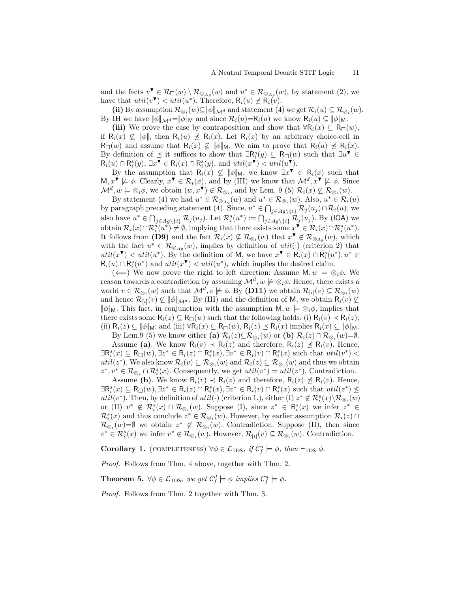and the facts  $v^{\blacktriangledown} \in \mathcal{R}_{\Box}(w) \setminus \mathcal{R}_{\otimes_{Ag}}(w)$  and  $u^* \in \mathcal{R}_{\otimes_{Ag}}(w)$ , by statement [\(2\)](#page-9-1), we have that  $util(v^{\blacktriangledown}) < util(u^*)$ . Therefore,  $R_i(u) \npreceq \overline{R_i(v)}$ .

(ii) By assumption  $\mathcal{R}_{\otimes_i}(w) \subseteq \|\phi\|_{\mathcal{M}^d}$  and statement (4) we get  $\mathcal{R}_i(u) \subseteq \mathcal{R}_{\otimes_i}(w)$ . By IH we have  $\|\phi\|_{\mathcal{M}^d}=\|\phi\|_{\mathsf{M}}$  and since  $\mathcal{R}_i(u)=\mathcal{R}_i(u)$  we know  $\mathcal{R}_i(u)\subseteq \|\phi\|_{\mathsf{M}}$ .

(iii) We prove the case by contraposition and show that  $\forall R_i(x) \subseteq R_{\Box}(w)$ , if  $\mathsf{R}_i(x) \not\subseteq \|\phi\|$ , then  $\mathsf{R}_i(u) \not\preceq \mathsf{R}_i(x)$ . Let  $\mathsf{R}_i(x)$  by an arbitrary choice-cell in  $R_{\Box}(w)$  and assume that  $R_i(x) \not\subseteq ||\phi||_M$ . We aim to prove that  $R_i(u) \not\preceq R_i(x)$ . By definition of  $\preceq$  it suffices to show that  $\exists \mathsf{R}_i^s(y) \subseteq \mathsf{R}_{\Box}(w)$  such that  $\exists u^{\blacktriangledown} \in$  $\mathsf{R}_{i}(u) \cap \mathsf{R}_{i}^{s}(y), \exists x \overline{\mathbf{v}} \in \mathsf{R}_{i}(x) \cap \mathsf{R}_{i}^{s}(y), \text{ and } util(x \overline{\mathbf{v}}) < util(\overline{u} \overline{\mathbf{v}}).$ 

By the assumption that  $R_i(x) \not\subseteq ||\phi||_M$ , we know  $\exists x^{\blacktriangledown} \in R_i(x)$  such that  $M, x^{\mathbf{v}} \not\models \phi$ . Clearly,  $x^{\mathbf{v}} \in \mathcal{R}_i(x)$ , and by (IH) we know that  $\mathcal{M}^d, x^{\mathbf{v}} \not\models \phi$ . Since  $\mathcal{M}^d, w \models \otimes_i \phi$ , we obtain  $(w, x^{\blacktriangledown}) \notin \mathcal{R}_{\otimes_i}$ , and by Lem. [9](#page-8-0) (5)  $\mathcal{R}_i(x) \not\subseteq \mathcal{R}_{\otimes_i}(w)$ .

By statement (4) we had  $u^* \in \mathcal{R}_{\otimes_{Ag}}(w)$  and  $u^* \in \mathcal{R}_{\otimes_i}(w)$ . Also,  $u^* \in \mathcal{R}_i(u)$ by paragraph preceding statement (4). Since,  $u^* \in \bigcap_{j \in Ag \setminus \{i\}} \mathcal{R}_j(u_j) \cap \mathcal{R}_i(u)$ , we also have  $u^* \in \bigcap_{j \in Ag\setminus\{i\}} \mathcal{R}_j(u_j)$ . Let  $\mathcal{R}_i^s(u^*) := \bigcap_{j \in Ag\setminus\{i\}} \mathcal{R}_j(u_j)$ . By (IOA) we obtain  $\mathcal{R}_i(x) \cap \mathcal{R}_i^s(u^*) \neq \emptyset$ , implying that there exists some  $x^{\blacktriangledown} \in \mathcal{R}_i(x) \cap \mathcal{R}_i^s(u^*)$ . It follows from (D9) and the fact  $\mathcal{R}_i(x) \not\subseteq \mathcal{R}_{\otimes_i}(w)$  that  $x^{\blacktriangledown} \notin \mathcal{R}_{\otimes_{A_g}}(w)$ , which with the fact  $u^* \in \mathcal{R}_{\otimes_{Ag}}(w)$ , implies by definition of  $util(\cdot)$  (criterion 2) that util( $x^{\blacktriangledown}$ ) < util( $u^*$ ). By the definition of M, we have  $x^{\blacktriangledown} \in \mathsf{R}_i(x) \cap \mathsf{R}_i^s(u^*)$ ,  $u^* \in$  $R_i(u) \cap R_i^s(u^*)$  and  $util(x^{\blacktriangledown}) < util(u^*)$ , which implies the desired claim.

( $\Longleftarrow$ ) We now prove the right to left direction: Assume M,  $w \models \otimes_i \phi$ . We reason towards a contradiction by assuming  $\mathcal{M}^d$ ,  $w \not\models \otimes_i \phi$ . Hence, there exists a world  $v \in \mathcal{R}_{\otimes_i}(w)$  such that  $\mathcal{M}^d, v \not\models \phi$ . By (D11) we obtain  $\mathcal{R}_{[i]}(v) \subseteq \mathcal{R}_{\otimes_i}(w)$ and hence  $\mathcal{R}_{[i]}(v) \nsubseteq \|\phi\|_{\mathcal{M}^d}$ . By (IH) and the definition of M, we obtain  $R_i(v) \nsubseteq$  $\|\phi\|_{\mathsf{M}}$ . This fact, in conjunction with the assumption  $\mathsf{M}, w \models \otimes_i \phi$ , implies that there exists some  $R_i(z) \subseteq R_{\Box}(w)$  such that the following holds: (i)  $R_i(v) \prec R_i(z)$ ; (ii)  $R_i(z) \subseteq ||\phi||_M$ ; and (iii)  $\forall R_i(x) \subseteq R_{\Box}(w)$ ,  $R_i(z) \preceq R_i(x)$  implies  $R_i(x) \subseteq ||\phi||_M$ .

By Lem[.9](#page-8-0) (5) we know either (a)  $\mathcal{R}_i(z) \subseteq \mathcal{R}_{\otimes_i}(w)$  or (b)  $\mathcal{R}_i(z) \cap \mathcal{R}_{\otimes_i}(w) = \emptyset$ . Assume (a). We know  $R_i(v) \prec R_i(z)$  and therefore,  $R_i(z) \not\preceq R_i(v)$ . Hence,  $\exists \mathsf{R}_i^s(x) \subseteq \mathsf{R}_{\Box}(w), \exists z^* \in \mathsf{R}_i(z) \cap \mathsf{R}_i^s(x), \exists v^* \in \mathsf{R}_i(v) \cap \mathsf{R}_i^s(x)$  such that  $util(v^*)$  $util(z^*)$ . We also know  $\mathcal{R}_i(v) \subseteq \mathcal{R}_{\otimes_i}(w)$  and  $\mathcal{R}_i(z) \subseteq \mathcal{R}_{\otimes_i}(w)$  and thus we obtain  $z^*, v^* \in \mathcal{R}_{\otimes_i} \cap \mathcal{R}_i^s(x)$ . Consequently, we get  $util(v^*) = util(z^*)$ . Contradiction.

Assume (b). We know  $R_i(v) \prec R_i(z)$  and therefore,  $R_i(z) \not\preceq R_i(v)$ . Hence,  $\exists \mathsf{R}_i^s(x) \subseteq \mathsf{R}_{\Box}(w), \exists z^* \in \mathsf{R}_i(z) \cap \mathsf{R}_i^s(x), \exists v^* \in \mathsf{R}_i(v) \cap \mathsf{R}_i^s(x)$  such that  $util(z^*) \nleq$ util(v<sup>\*</sup>). Then, by definition of  $util(\cdot)$  (criterion 1.), either (I)  $z^* \notin \mathcal{R}_i^s(x) \setminus \mathcal{R}_{\otimes_i}(w)$ or (II)  $v^* \notin \mathcal{R}_i^s(x) \cap \mathcal{R}_{\otimes_i}(w)$ . Suppose (I), since  $z^* \in \mathcal{R}_i^s(x)$  we infer  $z^* \in$  $\mathcal{R}_i^s(x)$  and thus conclude  $z^* \in \mathcal{R}_{\otimes_i}(w)$ . However, by earlier assumption  $\mathcal{R}_i(z) \cap$  $\mathcal{R}_{\otimes_i}(w) = \emptyset$  we obtain  $z^* \notin \mathcal{R}_{\otimes_i}(w)$ . Contradiction. Suppose (II), then since  $v^* \in \mathcal{R}_i^s(x)$  we infer  $v^* \notin \mathcal{R}_{\otimes_i}(w)$ . However,  $\mathcal{R}_{[i]}(v) \subseteq \mathcal{R}_{\otimes_i}(w)$ . Contradiction.

**Corollary 1.** (COMPLETENESS)  $\forall \phi \in \mathcal{L}_{\text{TDS}}$ , if  $\mathcal{C}_f^u \models \phi$ , then  $\vdash_{\text{TDS}} \phi$ .

Proof. Follows from Thm. [4](#page-8-1) above, together with Thm. [2.](#page-6-1)

**Theorem 5.**  $\forall \phi \in \mathcal{L}_{\text{TDS}}$ , we get  $\mathcal{C}_f^d \models \phi$  implies  $\mathcal{C}_f^u \models \phi$ .

Proof. Follows from Thm. [2](#page-6-1) together with Thm. [3.](#page-7-1)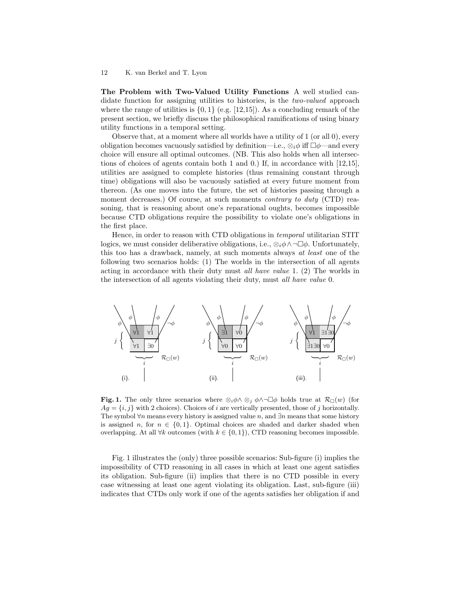The Problem with Two-Valued Utility Functions A well studied candidate function for assigning utilities to histories, is the *two-valued* approach where the range of utilities is  $\{0, 1\}$  (e.g. [\[12,](#page-13-3)[15\]](#page-13-4)). As a concluding remark of the present section, we briefly discuss the philosophical ramifications of using binary utility functions in a temporal setting.

Observe that, at a moment where all worlds have a utility of 1 (or all 0), every obligation becomes vacuously satisfied by definition—i.e.,  $\otimes_i \phi$  iff  $\Box \phi$ —and every choice will ensure all optimal outcomes. (NB. This also holds when all intersections of choices of agents contain both 1 and 0.) If, in accordance with [\[12](#page-13-3)[,15\]](#page-13-4), utilities are assigned to complete histories (thus remaining constant through time) obligations will also be vacuously satisfied at every future moment from thereon. (As one moves into the future, the set of histories passing through a moment decreases.) Of course, at such moments *contrary to duty* (CTD) reasoning, that is reasoning about one's reparational oughts, becomes impossible because CTD obligations require the possibility to violate one's obligations in the first place.

Hence, in order to reason with CTD obligations in temporal utilitarian STIT logics, we must consider deliberative obligations, i.e.,  $\otimes_i \phi \wedge \neg \Box \phi$ . Unfortunately, this too has a drawback, namely, at such moments always at least one of the following two scenarios holds: (1) The worlds in the intersection of all agents acting in accordance with their duty must all have value 1. (2) The worlds in the intersection of all agents violating their duty, must all have value 0.



<span id="page-11-0"></span>**Fig. 1.** The only three scenarios where  $\otimes_i \phi \wedge \otimes_j \phi \wedge \neg \Box \phi$  holds true at  $\mathcal{R}_{\Box}(w)$  (for  $Ag = \{i, j\}$  with 2 choices). Choices of i are vertically presented, those of j horizontally. The symbol  $\forall n$  means every history is assigned value n, and  $\exists n$  means that some history is assigned n, for  $n \in \{0,1\}$ . Optimal choices are shaded and darker shaded when overlapping. At all  $\forall k$  outcomes (with  $k \in \{0, 1\}$ ), CTD reasoning becomes impossible.

Fig. [1](#page-11-0) illustrates the (only) three possible scenarios: Sub-figure (i) implies the impossibility of CTD reasoning in all cases in which at least one agent satisfies its obligation. Sub-figure (ii) implies that there is no CTD possible in every case witnessing at least one agent violating its obligation. Last, sub-figure (iii) indicates that CTDs only work if one of the agents satisfies her obligation if and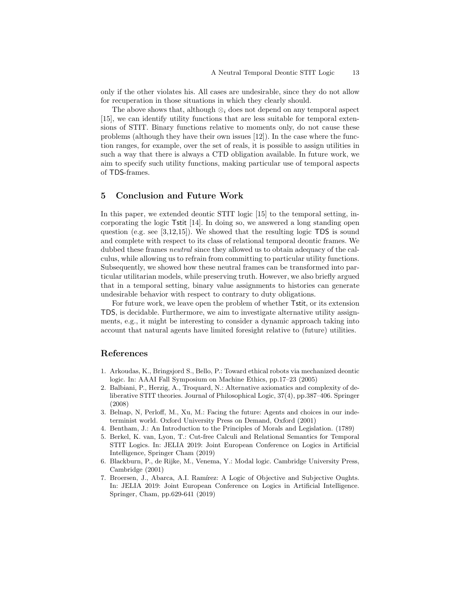only if the other violates his. All cases are undesirable, since they do not allow for recuperation in those situations in which they clearly should.

The above shows that, although  $\otimes_i$  does not depend on any temporal aspect [\[15\]](#page-13-4), we can identify utility functions that are less suitable for temporal extensions of STIT. Binary functions relative to moments only, do not cause these problems (although they have their own issues [\[12\]](#page-13-3)). In the case where the function ranges, for example, over the set of reals, it is possible to assign utilities in such a way that there is always a CTD obligation available. In future work, we aim to specify such utility functions, making particular use of temporal aspects of TDS-frames.

# 5 Conclusion and Future Work

In this paper, we extended deontic STIT logic [\[15\]](#page-13-4) to the temporal setting, incorporating the logic Tstit [\[14\]](#page-13-7). In doing so, we answered a long standing open question (e.g. see [\[3](#page-12-3)[,12](#page-13-3)[,15\]](#page-13-4)). We showed that the resulting logic TDS is sound and complete with respect to its class of relational temporal deontic frames. We dubbed these frames *neutral* since they allowed us to obtain adequacy of the calculus, while allowing us to refrain from committing to particular utility functions. Subsequently, we showed how these neutral frames can be transformed into particular utilitarian models, while preserving truth. However, we also briefly argued that in a temporal setting, binary value assignments to histories can generate undesirable behavior with respect to contrary to duty obligations.

For future work, we leave open the problem of whether Tstit, or its extension TDS, is decidable. Furthermore, we aim to investigate alternative utility assignments, e.g., it might be interesting to consider a dynamic approach taking into account that natural agents have limited foresight relative to (future) utilities.

### <span id="page-12-0"></span>References

- 1. Arkoudas, K., Bringsjord S., Bello, P.: Toward ethical robots via mechanized deontic logic. In: AAAI Fall Symposium on Machine Ethics, pp.17–23 (2005)
- <span id="page-12-4"></span>2. Balbiani, P., Herzig, A., Troquard, N.: Alternative axiomatics and complexity of deliberative STIT theories. Journal of Philosophical Logic, 37(4), pp.387–406. Springer (2008)
- <span id="page-12-3"></span>3. Belnap, N, Perloff, M., Xu, M.: Facing the future: Agents and choices in our indeterminist world. Oxford University Press on Demand, Oxford (2001)
- <span id="page-12-5"></span><span id="page-12-1"></span>4. Bentham, J.: An Introduction to the Principles of Morals and Legislation. (1789)
- 5. Berkel, K. van, Lyon, T.: Cut-free Calculi and Relational Semantics for Temporal STIT Logics. In: JELIA 2019: Joint European Conference on Logics in Artificial Intelligence, Springer Cham (2019)
- <span id="page-12-6"></span>6. Blackburn, P., de Rijke, M., Venema, Y.: Modal logic. Cambridge University Press, Cambridge (2001)
- <span id="page-12-2"></span>7. Broersen, J., Abarca, A.I. Ramírez: A Logic of Objective and Subjective Oughts. In: JELIA 2019: Joint European Conference on Logics in Artificial Intelligence. Springer, Cham, pp.629-641 (2019)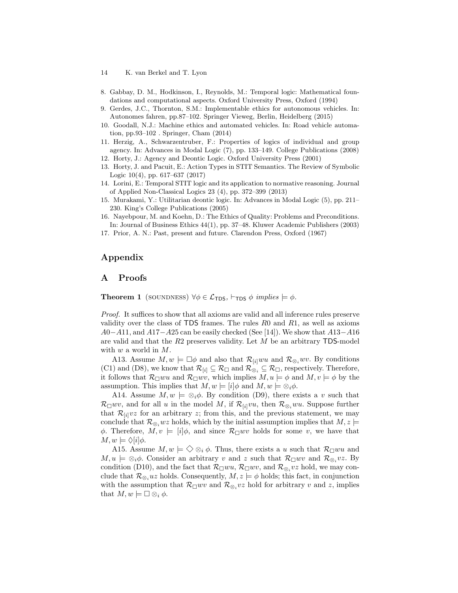- 14 K. van Berkel and T. Lyon
- <span id="page-13-9"></span><span id="page-13-0"></span>8. Gabbay, D. M., Hodkinson, I., Reynolds, M.: Temporal logic: Mathematical foundations and computational aspects. Oxford University Press, Oxford (1994)
- <span id="page-13-1"></span>9. Gerdes, J.C., Thornton, S.M.: Implementable ethics for autonomous vehicles. In: Autonomes fahren, pp.87–102. Springer Vieweg, Berlin, Heidelberg (2015)
- 10. Goodall, N.J.: Machine ethics and automated vehicles. In: Road vehicle automation, pp.93–102 . Springer, Cham (2014)
- <span id="page-13-6"></span>11. Herzig, A., Schwarzentruber, F.: Properties of logics of individual and group agency. In: Advances in Modal Logic (7), pp. 133–149. College Publications (2008)
- <span id="page-13-5"></span><span id="page-13-3"></span>12. Horty, J.: Agency and Deontic Logic. Oxford University Press (2001)
- 13. Horty, J. and Pacuit, E.: Action Types in STIT Semantics. The Review of Symbolic Logic 10(4), pp. 617–637 (2017)
- <span id="page-13-7"></span>14. Lorini, E.: Temporal STIT logic and its application to normative reasoning. Journal of Applied Non-Classical Logics 23 (4), pp. 372–399 (2013)
- <span id="page-13-4"></span>15. Murakami, Y.: Utilitarian deontic logic. In: Advances in Modal Logic (5), pp. 211– 230. King's College Publications (2005)
- <span id="page-13-2"></span>16. Nayebpour, M. and Koehn, D.: The Ethics of Quality: Problems and Preconditions. In: Journal of Business Ethics 44(1), pp. 37–48. Kluwer Academic Publishers (2003)
- 17. Prior, A. N.: Past, present and future. Clarendon Press, Oxford (1967)

# Appendix

# <span id="page-13-8"></span>A Proofs

**Theorem [1](#page-4-1)** (SOUNDNESS)  $\forall \phi \in \mathcal{L}_{\text{TDS}}, \vdash_{\text{TDS}} \phi \text{ implies } \models \phi$ .

Proof. It suffices to show that all axioms are valid and all inference rules preserve validity over the class of TDS frames. The rules  $R0$  and  $R1$ , as well as axioms  $A0-A11$ , and  $A17-A25$  can be easily checked (See [\[14\]](#page-13-7)). We show that  $A13-A16$ are valid and that the  $R2$  preserves validity. Let  $M$  be an arbitrary TDS-model with  $w$  a world in  $M$ .

A13. Assume  $M, w \models \Box \phi$  and also that  $\mathcal{R}_{[i]}wu$  and  $\mathcal{R}_{\otimes_i}wv$ . By conditions (C1) and (D8), we know that  $\mathcal{R}_{[i]} \subseteq \mathcal{R}_{\Box}$  and  $\mathcal{R}_{\otimes_i} \subseteq \mathcal{R}_{\Box}$ , respectively. Therefore, it follows that  $\mathcal{R}_{\Box}wu$  and  $\mathcal{R}_{\Box}wv$ , which implies  $M, u \models \phi$  and  $M, v \models \phi$  by the assumption. This implies that  $M, w \models [i] \phi$  and  $M, w \models \otimes_i \phi$ .

A14. Assume  $M, w \models \otimes_i \phi$ . By condition (D9), there exists a v such that  $\mathcal{R}_{\Box}wv$ , and for all u in the model M, if  $\mathcal{R}_{[i]}vu$ , then  $\mathcal{R}_{\otimes_i}wu$ . Suppose further that  $\mathcal{R}_{[i]}vz$  for an arbitrary z; from this, and the previous statement, we may conclude that  $\mathcal{R}_{\otimes_i}wz$  holds, which by the initial assumption implies that  $M, z \models$ φ. Therefore,  $M, v \models [i] \phi$ , and since  $\mathcal{R}_{\Box} w v$  holds for some v, we have that  $M, w \models \Diamond [i] \phi.$ 

A15. Assume  $M, w \models \Diamond \otimes_i \phi$ . Thus, there exists a u such that  $\mathcal{R}_{\Box}wu$  and  $M, u \models \otimes_i \phi$ . Consider an arbitrary v and z such that  $\mathcal{R}_{\Box} w v$  and  $\mathcal{R}_{\otimes_i} v z$ . By condition (D10), and the fact that  $\mathcal{R}_{\Box}wu, \mathcal{R}_{\Box}wv$ , and  $\mathcal{R}_{\otimes_i}vz$  hold, we may conclude that  $\mathcal{R}_{\otimes_i}uz$  holds. Consequently,  $M, z \models \phi$  holds; this fact, in conjunction with the assumption that  $\mathcal{R}_{\Box} w v$  and  $\mathcal{R}_{\otimes_i} v z$  hold for arbitrary v and z, implies that  $M, w \models \Box \otimes_i \phi$ .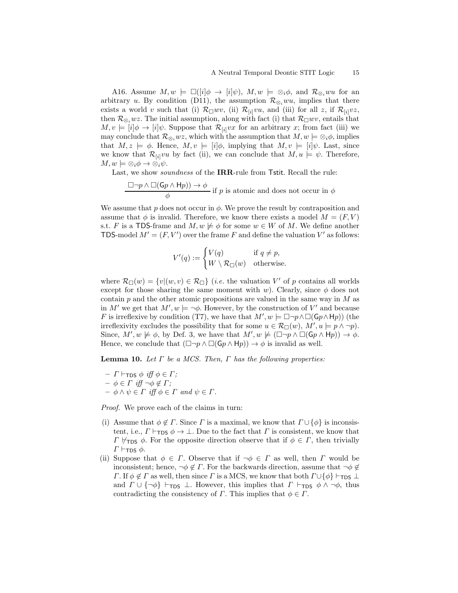A16. Assume  $M, w \models \Box (i | \phi \rightarrow i | \psi), M, w \models \otimes_i \phi$ , and  $\mathcal{R}_{\otimes_i} w u$  for an arbitrary u. By condition (D11), the assumption  $\mathcal{R}_{\otimes_i}wu$ , implies that there exists a world v such that (i)  $\mathcal{R}_{\Box}wv$ , (ii)  $\mathcal{R}_{[i]}vu$ , and (iii) for all z, if  $\mathcal{R}_{[i]}vz$ , then  $\mathcal{R}_{\otimes_i}wz$ . The initial assumption, along with fact (i) that  $\mathcal{R}_{\Box}wv$ , entails that  $M, v \models [i] \phi \rightarrow [i] \psi$ . Suppose that  $\mathcal{R}_{[i]} v x$  for an arbitrary x; from fact (iii) we may conclude that  $\mathcal{R}_{\otimes_i}wz$ , which with the assumption that  $M, w \models \otimes_i \phi$ , implies that  $M, z \models \phi$ . Hence,  $M, v \models [i] \phi$ , implying that  $M, v \models [i] \psi$ . Last, since we know that  $\mathcal{R}_{[i]}vu$  by fact (ii), we can conclude that  $M, u \models \psi$ . Therefore,  $M, w \models \otimes_i \phi \rightarrow \otimes_i \psi$ .

Last, we show soundness of the IRR-rule from Tstit. Recall the rule:

$$
\frac{\Box \neg p \land \Box(\mathsf{G}p \land \mathsf{H}p)) \to \phi}{\phi}
$$
 if  $p$  is atomic and does not occur in  $\phi$ 

We assume that p does not occur in  $\phi$ . We prove the result by contraposition and assume that  $\phi$  is invalid. Therefore, we know there exists a model  $M = (F, V)$ s.t. F is a TDS-frame and  $M, w \not\models \phi$  for some  $w \in W$  of M. We define another TDS-model  $M' = (F, V')$  over the frame F and define the valuation V' as follows:

$$
V'(q) := \begin{cases} V(q) & \text{if } q \neq p, \\ W \setminus \mathcal{R}_{\square}(w) & \text{otherwise.} \end{cases}
$$

where  $\mathcal{R}_{\Box}(w) = \{v | (w, v) \in \mathcal{R}_{\Box}\}\$  (*i.e.* the valuation V' of p contains all worlds except for those sharing the same moment with w). Clearly, since  $\phi$  does not contain  $p$  and the other atomic propositions are valued in the same way in  $M$  as in M' we get that  $M', w \models \neg \phi$ . However, by the construction of V' and because F is irreflexive by condition (T7), we have that  $M', w \models \Box \neg p \land \Box(\mathsf{G}p \land \mathsf{H}p)$ ) (the irreflexivity excludes the possibility that for some  $u \in \mathcal{R}_{\Box}(w)$ ,  $M', u \models p \land \neg p$ . Since,  $M', w \not\models \phi$ , by Def. [3,](#page-3-1) we have that  $M', w \not\models (\Box \neg p \land \Box(\mathsf{G} p \land \mathsf{H} p)) \rightarrow \phi$ . Hence, we conclude that  $(\Box \neg p \land \Box(Gp \land \mathsf{H}p)) \rightarrow \phi$  is invalid as well.

<span id="page-14-0"></span>**Lemma 10.** Let  $\Gamma$  be a MCS. Then,  $\Gamma$  has the following properties:

- $\Gamma$   $\vdash$  TDS  $\phi$  iff  $\phi \in \Gamma$ ;
- $\phi \in \Gamma$  iff  $\neg \phi \notin \Gamma$ ;
- $-\phi \wedge \psi \in \Gamma$  iff  $\phi \in \Gamma$  and  $\psi \in \Gamma$ .

Proof. We prove each of the claims in turn:

- (i) Assume that  $\phi \notin \Gamma$ . Since  $\Gamma$  is a maximal, we know that  $\Gamma \cup {\phi}$  is inconsistent, i.e.,  $\Gamma \vdash_{\text{TDS}} \phi \rightarrow \bot$ . Due to the fact that  $\Gamma$  is consistent, we know that  $Γ \nvdash$ TDS  $φ$ . For the opposite direction observe that if  $φ ∈ Γ$ , then trivially  $\Gamma \vdash_{\textsf{TDS}} \phi$ .
- (ii) Suppose that  $\phi \in \Gamma$ . Observe that if  $\neg \phi \in \Gamma$  as well, then  $\Gamma$  would be inconsistent; hence,  $\neg \phi \notin \Gamma$ . For the backwards direction, assume that  $\neg \phi \notin \Gamma$ .  $\Gamma$ . If  $\phi \notin \Gamma$  as well, then since  $\Gamma$  is a MCS, we know that both  $\Gamma \cup \{\phi\} \vdash_{\text{TDS}} \bot$ and  $\Gamma \cup {\neg \phi}$   $\vdash_{\text{TDS}} \bot$ . However, this implies that  $\Gamma \vdash_{\text{TDS}} \phi \land \neg \phi$ , thus contradicting the consistency of  $\Gamma$ . This implies that  $\phi \in \Gamma$ .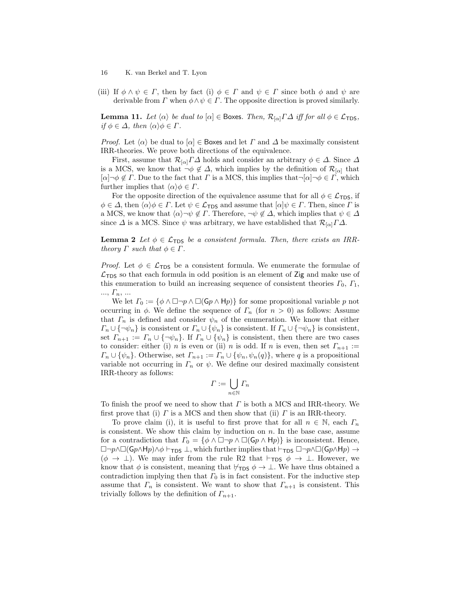- 16 K. van Berkel and T. Lyon
- (iii) If  $\phi \wedge \psi \in \Gamma$ , then by fact (i)  $\phi \in \Gamma$  and  $\psi \in \Gamma$  since both  $\phi$  and  $\psi$  are derivable from  $\Gamma$  when  $\phi \land \psi \in \Gamma$ . The opposite direction is proved similarly.

<span id="page-15-0"></span>**Lemma 11.** Let  $\langle \alpha \rangle$  be dual to  $[\alpha] \in \text{Box}$ . Then,  $\mathcal{R}_{[\alpha]} \Gamma \Delta$  iff for all  $\phi \in \mathcal{L}_{\text{TDS}}$ , if  $\phi \in \Delta$ , then  $\langle \alpha \rangle \phi \in \Gamma$ .

*Proof.* Let  $\langle \alpha \rangle$  be dual to  $\alpha \in \mathsf{Boxes}$  and let  $\Gamma$  and  $\Delta$  be maximally consistent IRR-theories. We prove both directions of the equivalence.

First, assume that  $\mathcal{R}_{[\alpha]} \Gamma \Delta$  holds and consider an arbitrary  $\phi \in \Delta$ . Since  $\Delta$ is a MCS, we know that  $\neg \phi \notin \Delta$ , which implies by the definition of  $\mathcal{R}_{[\alpha]}$  that  $[\alpha] \neg \phi \notin \Gamma$ . Due to the fact that  $\Gamma$  is a MCS, this implies that  $\neg[\alpha] \neg \phi \in \Gamma$ , which further implies that  $\langle \alpha \rangle \phi \in \Gamma$ .

For the opposite direction of the equivalence assume that for all  $\phi \in \mathcal{L}_{\text{TDS}}$ , if  $\phi \in \Delta$ , then  $\langle \alpha \rangle \phi \in \Gamma$ . Let  $\psi \in \mathcal{L}_{\text{TDS}}$  and assume that  $[\alpha] \psi \in \Gamma$ . Then, since  $\Gamma$  is a MCS, we know that  $\langle \alpha \rangle \neg \psi \notin \Gamma$ . Therefore,  $\neg \psi \notin \Delta$ , which implies that  $\psi \in \Delta$ since  $\Delta$  is a MCS. Since  $\psi$  was arbitrary, we have established that  $\mathcal{R}_{[\alpha]}I\Delta$ .

**Lemma [2](#page-5-0)** Let  $\phi \in \mathcal{L}_{\text{TDS}}$  be a consistent formula. Then, there exists an IRRtheory  $\Gamma$  such that  $\phi \in \Gamma$ .

*Proof.* Let  $\phi \in \mathcal{L}_{\text{TDS}}$  be a consistent formula. We enumerate the formulae of  $\mathcal{L}_{\text{TDS}}$  so that each formula in odd position is an element of Zig and make use of this enumeration to build an increasing sequence of consistent theories  $\Gamma_0$ ,  $\Gamma_1$ ,  $..., T_n, ...$ 

We let  $\Gamma_0 := \{ \phi \wedge \Box \neg p \wedge \Box(Gp \wedge \mathsf{H}p) \}$  for some propositional variable p not occurring in  $\phi$ . We define the sequence of  $\Gamma_n$  (for  $n > 0$ ) as follows: Assume that  $\Gamma_n$  is defined and consider  $\psi_n$  of the enumeration. We know that either  $\Gamma_n \cup \{\neg \psi_n\}$  is consistent or  $\Gamma_n \cup \{\psi_n\}$  is consistent. If  $\Gamma_n \cup \{\neg \psi_n\}$  is consistent, set  $\Gamma_{n+1} := \Gamma_n \cup {\neg \psi_n}$ . If  $\Gamma_n \cup {\psi_n}$  is consistent, then there are two cases to consider: either (i) n is even or (ii) n is odd. If n is even, then set  $\Gamma_{n+1}$  :=  $\Gamma_n \cup \{\psi_n\}.$  Otherwise, set  $\Gamma_{n+1} := \Gamma_n \cup \{\psi_n, \psi_n(q)\}\,$ , where q is a propositional variable not occurring in  $\Gamma_n$  or  $\psi$ . We define our desired maximally consistent IRR-theory as follows:

$$
\varGamma:=\bigcup_{n\in\mathbb{N}}\varGamma_n
$$

To finish the proof we need to show that  $\Gamma$  is both a MCS and IRR-theory. We first prove that (i)  $\Gamma$  is a MCS and then show that (ii)  $\Gamma$  is an IRR-theory.

To prove claim (i), it is useful to first prove that for all  $n \in \mathbb{N}$ , each  $\Gamma_n$ is consistent. We show this claim by induction on  $n$ . In the base case, assume for a contradiction that  $\Gamma_0 = \{\phi \land \Box \neg p \land \Box(Gp \land \mathsf{H}p)\}\$ is inconsistent. Hence,  $\Box\neg p\land\Box(Gp\land Hp)\land\phi\vdash_{\mathsf{TDS}}\bot$ , which further implies that  $\vdash_{\mathsf{TDS}}\Box\neg p\land\Box(\mathsf{G}p\land Hp)\rightarrow$  $(\phi \rightarrow \bot)$ . We may infer from the rule R2 that  $\vdash_{\text{TDS}} \phi \rightarrow \bot$ . However, we know that  $\phi$  is consistent, meaning that  $\nvdash_{TDS} \phi \rightarrow \bot$ . We have thus obtained a contradiction implying then that  $\Gamma_0$  is in fact consistent. For the inductive step assume that  $\Gamma_n$  is consistent. We want to show that  $\Gamma_{n+1}$  is consistent. This trivially follows by the definition of  $\Gamma_{n+1}$ .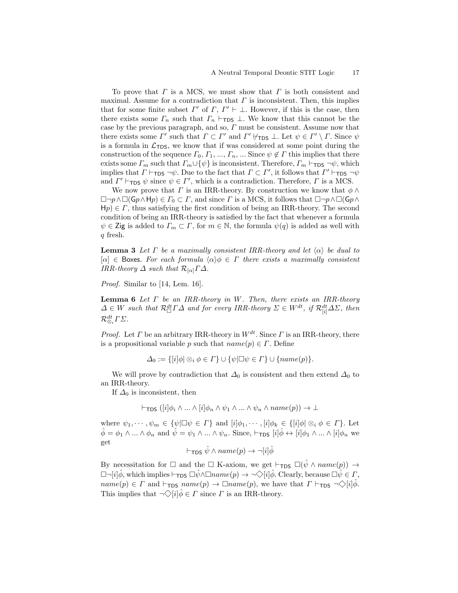To prove that  $\Gamma$  is a MCS, we must show that  $\Gamma$  is both consistent and maximal. Assume for a contradiction that  $\Gamma$  is inconsistent. Then, this implies that for some finite subset  $\Gamma'$  of  $\Gamma$ ,  $\Gamma' \vdash \bot$ . However, if this is the case, then there exists some  $\Gamma_n$  such that  $\Gamma_n$  ⊢<sub>TDS</sub>  $\perp$ . We know that this cannot be the case by the previous paragraph, and so,  $\Gamma$  must be consistent. Assume now that there exists some  $\Gamma'$  such that  $\Gamma \subset \Gamma'$  and  $\Gamma' \nvdash_{\mathsf{TDS}} \bot$ . Let  $\psi \in \Gamma' \setminus \Gamma$ . Since  $\psi$ is a formula in  $\mathcal{L}_{\text{TDS}}$ , we know that if was considered at some point during the construction of the sequence  $\Gamma_0, \Gamma_1, ..., \Gamma_n, ...$  Since  $\psi \notin \Gamma$  this implies that there exists some  $\Gamma_m$  such that  $\Gamma_m \cup \{\psi\}$  is inconsistent. Therefore,  $\Gamma_m \vdash_{\text{TDS}} \neg \psi$ , which implies that  $\Gamma \vdash_{\mathsf{TDS}} \neg \psi$ . Due to the fact that  $\Gamma \subset \Gamma'$ , it follows that  $\Gamma' \vdash_{\mathsf{TDS}} \neg \psi$ and  $\Gamma' \vdash_{\mathsf{TDS}} \psi$  since  $\psi \in \Gamma'$ , which is a contradiction. Therefore,  $\Gamma$  is a MCS.

We now prove that  $\Gamma$  is an IRR-theory. By construction we know that  $\phi \wedge$  $\Box \neg p \wedge \Box(\mathsf{G}p \wedge \mathsf{H}p) \in \Gamma_0 \subset \Gamma$ , and since  $\Gamma$  is a MCS, it follows that  $\Box \neg p \wedge \Box(\mathsf{G}p \wedge \Box p)$  $H_p \in \Gamma$ , thus satisfying the first condition of being an IRR-theory. The second condition of being an IRR-theory is satisfied by the fact that whenever a formula  $\psi \in \mathsf{Zig}$  is added to  $\Gamma_m \subset \Gamma$ , for  $m \in \mathbb{N}$ , the formula  $\psi(q)$  is added as well with q fresh.

**Lemma [3](#page-5-1)** Let  $\Gamma$  be a maximally consistent IRR-theory and let  $\langle \alpha \rangle$  be dual to [ $\alpha$ ]  $\in$  Boxes. For each formula  $\langle \alpha \rangle \phi \in \Gamma$  there exists a maximally consistent IRR-theory  $\Delta$  such that  $\mathcal{R}_{[\alpha]} \Gamma \Delta$ .

Proof. Similar to [\[14,](#page-13-7) Lem. 16].

**Lemma [6](#page-6-2)** Let  $\Gamma$  be an IRR-theory in W. Then, there exists an IRR-theory  $\Delta \in W$  such that  $\mathcal{R}_{\Box}^{dt} \Gamma \Delta$  and for every IRR-theory  $\Sigma \in W^{dt}$ , if  $\mathcal{R}_{[i]}^{dt} \Delta \Sigma$ , then  $\mathcal{R}^{dt}_{\otimes_i} \varGamma \varSigma.$ 

*Proof.* Let  $\Gamma$  be an arbitrary IRR-theory in  $W^{dt}$ . Since  $\Gamma$  is an IRR-theory, there is a propositional variable p such that  $name(p) \in \Gamma$ . Define

$$
\Delta_0 := \{ [i] \phi \mid \text{and } \phi \in \Gamma \} \cup \{ \psi \mid \Box \psi \in \Gamma \} \cup \{ name(p) \}.
$$

We will prove by contradiction that  $\Delta_0$  is consistent and then extend  $\Delta_0$  to an IRR-theory.

If  $\Delta_0$  is inconsistent, then

$$
\vdash_{\mathsf{TDS}} ([i] \phi_i \land \dots \land [i] \phi_n \land \psi_1 \land \dots \land \psi_n \land name(p)) \to \bot
$$

where  $\psi_1, \dots, \psi_m \in {\psi} | \Box \psi \in \Gamma$  and  $[i] \phi_1, \dots, [i] \phi_k \in {\psi} | \phi \otimes_i \phi \in \Gamma$ . Let  $\hat{\phi} = \phi_1 \wedge ... \wedge \phi_n$  and  $\hat{\psi} = \psi_1 \wedge ... \wedge \psi_n$ . Since,  $\vdash_{\mathsf{TDS}} [i] \hat{\phi} \leftrightarrow [i] \phi_1 \wedge ... \wedge [i] \phi_n$  we get

$$
\vdash_{\mathsf{TDS}} \hat{\psi} \land name(p) \to \neg[i]\hat{\phi}
$$

By necessitation for  $\Box$  and the  $\Box$  K-axiom, we get  $\vdash_{\text{TDS}} \Box(\hat{\psi} \land name(p)) \rightarrow$  $\Box \neg [i] \hat{\phi}$ , which implies  $\vdash_{\text{TDS}} \Box \hat{\psi} \land \Box name(p) \rightarrow \neg \Diamond [i] \hat{\phi}$ . Clearly, because  $\Box \hat{\psi} \in \Gamma$ ,  $name(p) \in \Gamma$  and  $\vdash_{\mathsf{TDS}} name(p) \rightarrow \Box name(p)$ , we have that  $\Gamma \vdash_{\mathsf{TDS}} \neg \Diamond[i] \phi$ . This implies that  $\neg \Diamond [i] \hat{\phi} \in \Gamma$  since  $\Gamma$  is an IRR-theory.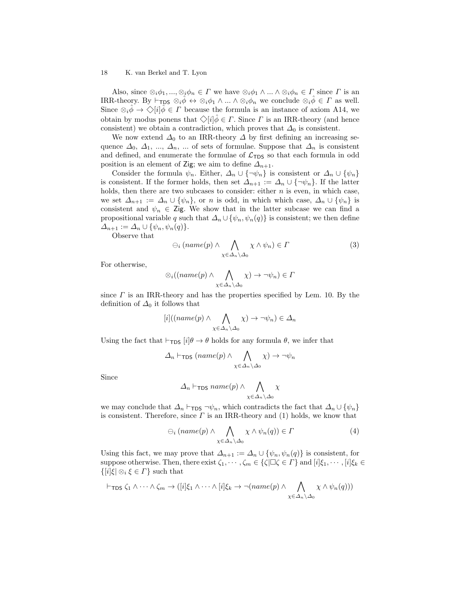Also, since  $\otimes_i \phi_1, ..., \otimes_i \phi_n \in \Gamma$  we have  $\otimes_i \phi_1 \wedge ... \wedge \otimes_i \phi_n \in \Gamma$  since  $\Gamma$  is an IRR-theory. By  $\vdash_{\mathsf{TDS}} \otimes_i \phi \leftrightarrow \otimes_i \phi_1 \wedge ... \wedge \otimes_i \phi_n$  we conclude  $\otimes_i \phi \in \Gamma$  as well. Since  $\otimes_i \phi \to \diamondsuit[i] \phi \in \Gamma$  because the formula is an instance of axiom A14, we obtain by modus ponens that  $\Diamond[i]\hat{\phi} \in \Gamma$ . Since  $\Gamma$  is an IRR-theory (and hence consistent) we obtain a contradiction, which proves that  $\Delta_0$  is consistent.

We now extend  $\Delta_0$  to an IRR-theory  $\Delta$  by first defining an increasing sequence  $\Delta_0$ ,  $\Delta_1$ , ...,  $\Delta_n$ , ... of sets of formulae. Suppose that  $\Delta_n$  is consistent and defined, and enumerate the formulae of  $\mathcal{L}_{\text{TDS}}$  so that each formula in odd position is an element of Zig; we aim to define  $\Delta_{n+1}$ .

Consider the formula  $\psi_n$ . Either,  $\Delta_n \cup {\neg \psi_n}$  is consistent or  $\Delta_n \cup {\psi_n}$ is consistent. If the former holds, then set  $\Delta_{n+1} := \Delta_n \cup {\neg \psi_n}$ . If the latter holds, then there are two subcases to consider: either  $n$  is even, in which case, we set  $\Delta_{n+1} := \Delta_n \cup \{\psi_n\}$ , or n is odd, in which which case,  $\Delta_n \cup \{\psi_n\}$  is consistent and  $\psi_n \in \mathsf{Zig}$ . We show that in the latter subcase we can find a propositional variable q such that  $\Delta_n \cup \{\psi_n, \psi_n(q)\}\$ is consistent; we then define  $\Delta_{n+1} := \Delta_n \cup \{ \psi_n, \psi_n(q) \}.$ 

Observe that

$$
\ominus_i \left(name(p) \land \bigwedge_{\chi \in \Delta_n \setminus \Delta_0} \chi \land \psi_n \right) \in \Gamma \tag{3}
$$

For otherwise,

$$
\otimes_i((name(p) \wedge \bigwedge_{\chi \in \Delta_n \setminus \Delta_0} \chi) \to \neg \psi_n) \in \Gamma
$$

since  $\Gamma$  is an IRR-theory and has the properties specified by Lem. [10.](#page-14-0) By the definition of  $\Delta_0$  it follows that

$$
[i]((name(p) \land \bigwedge_{\chi \in \Delta_n \setminus \Delta_0} \chi) \to \neg \psi_n) \in \Delta_n
$$

Using the fact that  $\vdash_{\mathsf{TDS}} [i] \theta \to \theta$  holds for any formula  $\theta$ , we infer that

$$
\Delta_n \vdash_{\mathsf{TDS}} (name(p) \land \bigwedge_{\chi \in \Delta_n \setminus \Delta_0} \chi) \to \neg \psi_n
$$

Since

$$
\Delta_n \vdash_{\mathsf{TDS}} name(p) \land \bigwedge_{\chi \in \Delta_n \setminus \Delta_0} \chi
$$

we may conclude that  $\Delta_n$  ⊢<sub>TDS</sub>  $\neg \psi_n$ , which contradicts the fact that  $\Delta_n \cup {\psi_n}$ is consistent. Therefore, since  $\Gamma$  is an IRR-theory and (1) holds, we know that

$$
\ominus_i \left(name(p) \land \bigwedge_{\chi \in \Delta_n \setminus \Delta_0} \chi \land \psi_n(q)\right) \in \Gamma \tag{4}
$$

Using this fact, we may prove that  $\Delta_{n+1} := \Delta_n \cup \{\psi_n, \psi_n(q)\}\$ is consistent, for suppose otherwise. Then, there exist  $\zeta_1, \dots, \zeta_m \in {\{\zeta|\Box \zeta \in \Gamma\}}$  and  $[i]\xi_1, \dots, [i]\xi_k \in$  $\{|i|\xi|\otimes_i\xi\in\Gamma\}$  such that

$$
\vdash_{\mathsf{TDS}} \zeta_1 \wedge \cdots \wedge \zeta_m \rightarrow ([i] \xi_1 \wedge \cdots \wedge [i] \xi_k \rightarrow \neg (name(p) \wedge \bigwedge_{\chi \in \Delta_n \setminus \Delta_0} \chi \wedge \psi_n(q)))
$$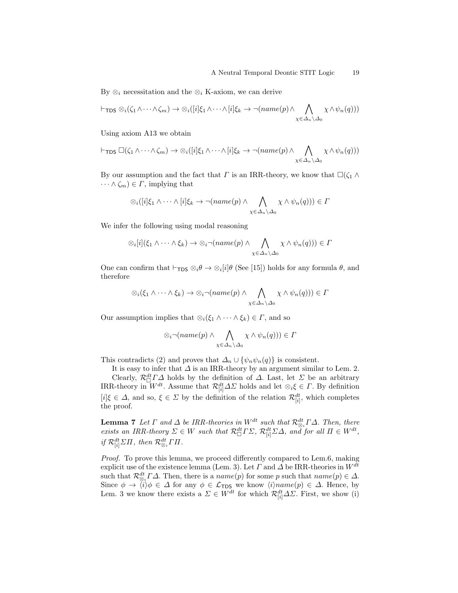By  $\otimes_i$  necessitation and the  $\otimes_i$  K-axiom, we can derive

$$
\vdash_{\mathsf{TDS}} \otimes_i (\zeta_1 \wedge \cdots \wedge \zeta_m) \rightarrow \otimes_i ([i] \xi_1 \wedge \cdots \wedge [i] \xi_k \rightarrow \neg (name(p) \wedge \bigwedge_{\chi \in \Delta_n \setminus \Delta_0} \chi \wedge \psi_n(q)))
$$

Using axiom A13 we obtain

$$
\vdash_{\mathsf{TDS}} \Box(\zeta_1 \wedge \cdots \wedge \zeta_m) \rightarrow \otimes_i([i] \xi_1 \wedge \cdots \wedge [i] \xi_k \rightarrow \neg (name(p) \wedge \bigwedge_{\chi \in \Delta_n \setminus \Delta_0} \chi \wedge \psi_n(q)))
$$

By our assumption and the fact that  $\Gamma$  is an IRR-theory, we know that  $\square(\zeta_1 \wedge$  $\cdots \wedge \zeta_m) \in \Gamma$ , implying that

$$
\otimes_i([i]\xi_1 \wedge \cdots \wedge [i]\xi_k \to \neg(name(p) \wedge \bigwedge_{\chi \in \Delta_n \setminus \Delta_0} \chi \wedge \psi_n(q))) \in \Gamma
$$

We infer the following using modal reasoning

$$
\otimes_i[i](\xi_1 \wedge \cdots \wedge \xi_k) \to \otimes_i \neg (name(p) \wedge \bigwedge_{\chi \in \Delta_n \setminus \Delta_0} \chi \wedge \psi_n(q))) \in \Gamma
$$

One can confirm that  $\vdash_{\mathsf{TDS}} \otimes_i \theta \to \otimes_i [i] \theta$  (See [\[15\]](#page-13-4)) holds for any formula  $\theta$ , and therefore

$$
\otimes_i(\xi_1 \wedge \cdots \wedge \xi_k) \to \otimes_i \neg(name(p) \wedge \bigwedge_{\chi \in \Delta_n \setminus \Delta_0} \chi \wedge \psi_n(q))) \in \Gamma
$$

Our assumption implies that  $\otimes_i(\xi_1 \wedge \cdots \wedge \xi_k) \in \Gamma$ , and so

$$
\otimes_i \neg (name(p) \land \bigwedge_{\chi \in \Delta_n \setminus \Delta_0} \chi \land \psi_n(q))) \in \Gamma
$$

This contradicts (2) and proves that  $\Delta_n \cup {\psi_n \psi_n(q)}$  is consistent.

It is easy to infer that  $\Delta$  is an IRR-theory by an argument similar to Lem. [2.](#page-5-0) Clearly,  $\mathcal{R}_{\Box}^{dt} \Gamma \Delta$  holds by the definition of  $\Delta$ . Last, let  $\Sigma$  be an arbitrary IRR-theory in  $W^{dt}$ . Assume that  $\mathcal{R}^{dt}_{[i]} \Delta \Sigma$  holds and let  $\otimes_i \xi \in \Gamma$ . By definition  $[i]\xi \in \Delta$ , and so,  $\xi \in \Sigma$  by the definition of the relation  $\mathcal{R}_{[i]}^{dt}$ , which completes the proof.

**Lemma [7](#page-6-3)** Let  $\Gamma$  and  $\Delta$  be IRR-theories in  $W^{dt}$  such that  $\mathcal{R}^{dt}_{\otimes_i} \Gamma \Delta$ . Then, there exists an IRR-theory  $\Sigma \in W$  such that  $\mathcal{R}_{\Box}^{dt} \Gamma \Sigma$ ,  $\mathcal{R}_{[i]}^{dt} \Sigma \Delta$ , and for all  $\Pi \in W^{dt}$ , if  $\mathcal{R}_{[i]}^{dt} \Sigma \Pi$ , then  $\mathcal{R}_{\otimes_i}^{dt} \Gamma \Pi$ .

Proof. To prove this lemma, we proceed differently compared to Lem[.6,](#page-6-2) making explicit use of the existence lemma (Lem. [3\)](#page-5-1). Let  $\Gamma$  and  $\Delta$  be IRR-theories in  $W^{dt}$ such that  $\mathcal{R}^{dt}_{\otimes_i} \Gamma \Delta$ . Then, there is a *name*(p) for some p such that  $name(p) \in \Delta$ . Since  $\phi \to \langle i \rangle \phi \in \Delta$  for any  $\phi \in \mathcal{L}_{\text{TDS}}$  we know  $\langle i \rangle name(p) \in \Delta$ . Hence, by Lem. [3](#page-5-1) we know there exists a  $\Sigma \in W^{dt}$  for which  $\mathcal{R}_{[i]}^{dt} \Delta \Sigma$ . First, we show (i)